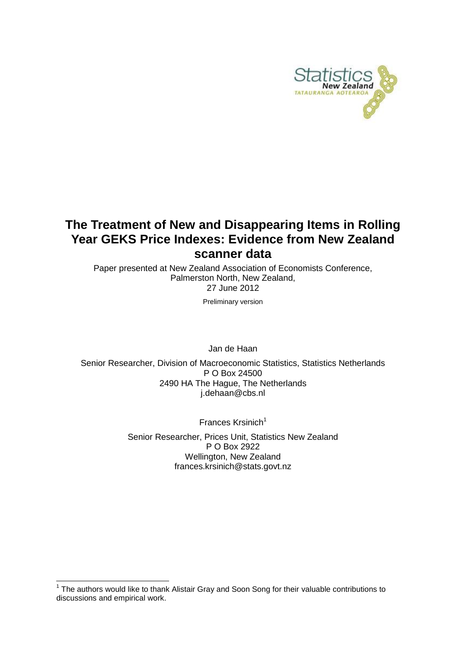

## **The Treatment of New and Disappearing Items in Rolling Year GEKS Price Indexes: Evidence from New Zealand scanner data**

Paper presented at New Zealand Association of Economists Conference, Palmerston North, New Zealand, 27 June 2012

Preliminary version

Jan de Haan

Senior Researcher, Division of Macroeconomic Statistics, Statistics Netherlands P O Box 24500 2490 HA The Hague, The Netherlands [j.dehaan@cbs.nl](mailto:j.dehaan@cbs.nl)

Frances Krsinich $1$ 

Senior Researcher, Prices Unit, Statistics New Zealand P O Box 2922 Wellington, New Zealand frances.krsinich@stats.govt.nz

<sup>1</sup> The authors would like to thank Alistair Gray and Soon Song for their valuable contributions to discussions and empirical work.

-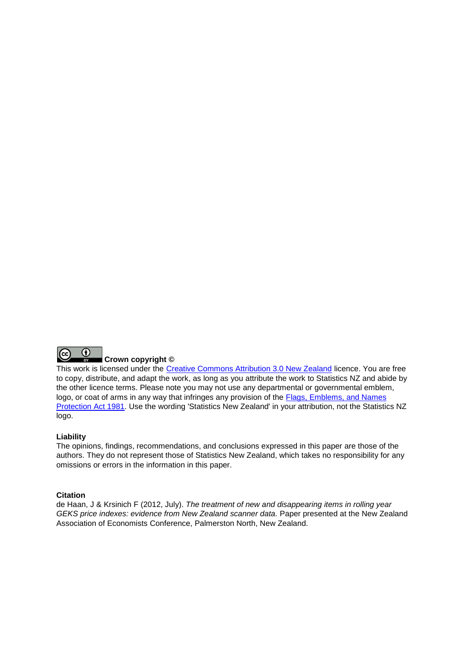

#### **Crown copyright ©**

This work is licensed under the [Creative Commons Attribution 3.0 New Zealand](http://creativecommons.org/licenses/by/3.0/nz/deed.en) licence. You are free to copy, distribute, and adapt the work, as long as you attribute the work to Statistics NZ and abide by the other licence terms. Please note you may not use any departmental or governmental emblem, logo, or coat of arms in any way that infringes any provision of the [Flags, Emblems, and Names](http://www.legislation.govt.nz/act/public/1981/0047/latest/DLM51358.html)  [Protection Act 1981.](http://www.legislation.govt.nz/act/public/1981/0047/latest/DLM51358.html) Use the wording 'Statistics New Zealand' in your attribution, not the Statistics NZ logo.

#### **Liability**

The opinions, findings, recommendations, and conclusions expressed in this paper are those of the authors. They do not represent those of Statistics New Zealand, which takes no responsibility for any omissions or errors in the information in this paper.

#### **Citation**

de Haan, J & Krsinich F (2012, July). *The treatment of new and disappearing items in rolling year GEKS price indexes: evidence from New Zealand scanner data.* Paper presented at the New Zealand Association of Economists Conference, Palmerston North, New Zealand.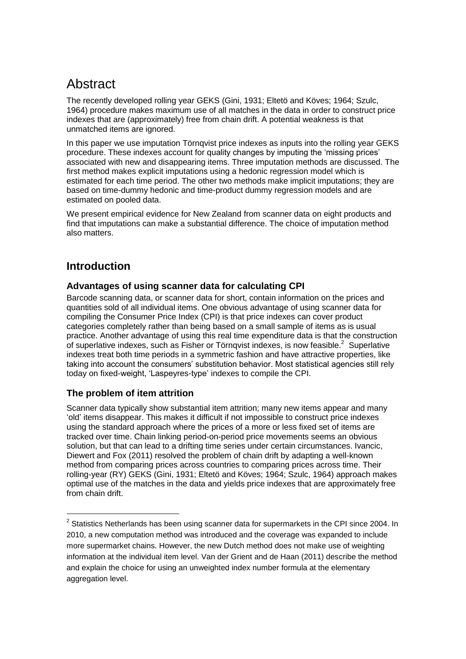## **Abstract**

The recently developed rolling year GEKS (Gini, 1931; Eltetö and Köves; 1964; Szulc, 1964) procedure makes maximum use of all matches in the data in order to construct price indexes that are (approximately) free from chain drift. A potential weakness is that unmatched items are ignored.

In this paper we use imputation Törnqvist price indexes as inputs into the rolling year GEKS procedure. These indexes account for quality changes by imputing the 'missing prices' associated with new and disappearing items. Three imputation methods are discussed. The first method makes explicit imputations using a hedonic regression model which is estimated for each time period. The other two methods make implicit imputations; they are based on time-dummy hedonic and time-product dummy regression models and are estimated on pooled data.

We present empirical evidence for New Zealand from scanner data on eight products and find that imputations can make a substantial difference. The choice of imputation method also matters.

## **Introduction**

1

#### **Advantages of using scanner data for calculating CPI**

Barcode scanning data, or scanner data for short, contain information on the prices and quantities sold of all individual items. One obvious advantage of using scanner data for compiling the Consumer Price Index (CPI) is that price indexes can cover product categories completely rather than being based on a small sample of items as is usual practice. Another advantage of using this real time expenditure data is that the construction of superlative indexes, such as Fisher or Törngvist indexes, is now feasible. $2$  Superlative indexes treat both time periods in a symmetric fashion and have attractive properties, like taking into account the consumers' substitution behavior. Most statistical agencies still rely today on fixed-weight, 'Laspeyres-type' indexes to compile the CPI.

#### **The problem of item attrition**

Scanner data typically show substantial item attrition; many new items appear and many 'old' items disappear. This makes it difficult if not impossible to construct price indexes using the standard approach where the prices of a more or less fixed set of items are tracked over time. Chain linking period-on-period price movements seems an obvious solution, but that can lead to a drifting time series under certain circumstances. Ivancic, Diewert and Fox (2011) resolved the problem of chain drift by adapting a well-known method from comparing prices across countries to comparing prices across time. Their rolling-year (RY) GEKS (Gini, 1931; Eltetö and Köves; 1964; Szulc, 1964) approach makes optimal use of the matches in the data and yields price indexes that are approximately free from chain drift.

 $2$  Statistics Netherlands has been using scanner data for supermarkets in the CPI since 2004. In 2010, a new computation method was introduced and the coverage was expanded to include more supermarket chains. However, the new Dutch method does not make use of weighting information at the individual item level. Van der Grient and de Haan (2011) describe the method and explain the choice for using an unweighted index number formula at the elementary aggregation level.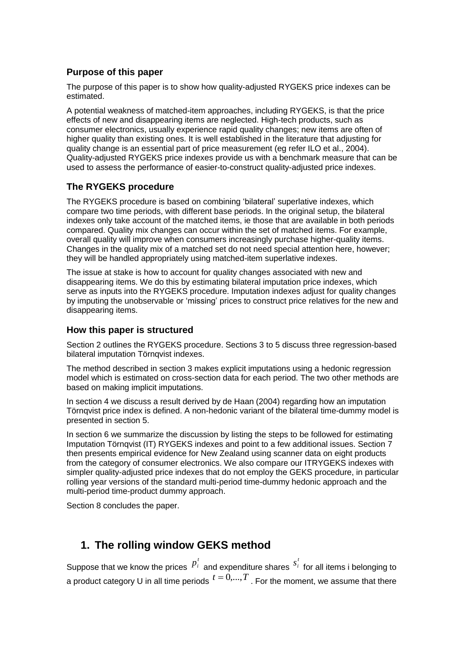### **Purpose of this paper**

The purpose of this paper is to show how quality-adjusted RYGEKS price indexes can be estimated.

A potential weakness of matched-item approaches, including RYGEKS, is that the price effects of new and disappearing items are neglected. High-tech products, such as consumer electronics, usually experience rapid quality changes; new items are often of higher quality than existing ones. It is well established in the literature that adjusting for quality change is an essential part of price measurement (eg refer ILO et al., 2004). Quality-adjusted RYGEKS price indexes provide us with a benchmark measure that can be used to assess the performance of easier-to-construct quality-adjusted price indexes.

### **The RYGEKS procedure**

The RYGEKS procedure is based on combining 'bilateral' superlative indexes, which compare two time periods, with different base periods. In the original setup, the bilateral indexes only take account of the matched items, ie those that are available in both periods compared. Quality mix changes can occur within the set of matched items. For example, overall quality will improve when consumers increasingly purchase higher-quality items. Changes in the quality mix of a matched set do not need special attention here, however; they will be handled appropriately using matched-item superlative indexes.

The issue at stake is how to account for quality changes associated with new and disappearing items. We do this by estimating bilateral imputation price indexes, which serve as inputs into the RYGEKS procedure. Imputation indexes adjust for quality changes by imputing the unobservable or 'missing' prices to construct price relatives for the new and disappearing items.

#### **How this paper is structured**

Section 2 outlines the RYGEKS procedure. Sections 3 to 5 discuss three regression-based bilateral imputation Törnqvist indexes.

The method described in section 3 makes explicit imputations using a hedonic regression model which is estimated on cross-section data for each period. The two other methods are based on making implicit imputations.

In section 4 we discuss a result derived by de Haan (2004) regarding how an imputation Törnqvist price index is defined. A non-hedonic variant of the bilateral time-dummy model is presented in section 5.

In section 6 we summarize the discussion by listing the steps to be followed for estimating Imputation Törnqvist (IT) RYGEKS indexes and point to a few additional issues. Section 7 then presents empirical evidence for New Zealand using scanner data on eight products from the category of consumer electronics. We also compare our ITRYGEKS indexes with simpler quality-adjusted price indexes that do not employ the GEKS procedure, in particular rolling year versions of the standard multi-period time-dummy hedonic approach and the multi-period time-product dummy approach.

Section 8 concludes the paper.

## **1. The rolling window GEKS method**

Suppose that we know the prices  $p_i^t$  and expenditure shares *t*  $s_i^t$  for all items i belonging to a product category U in all time periods  $t=0,...,T$  . For the moment, we assume that there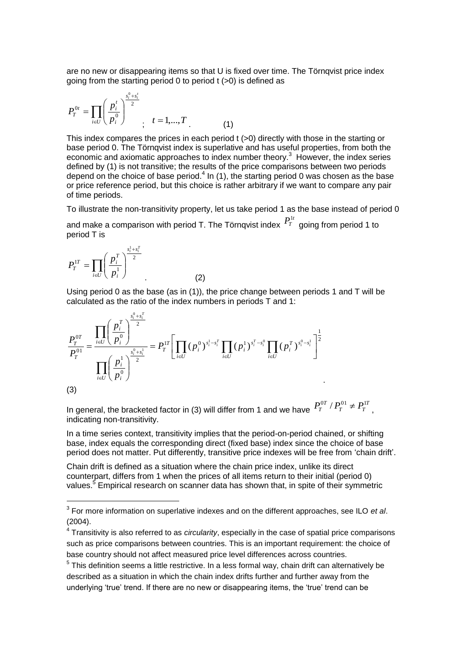are no new or disappearing items so that U is fixed over time. The Törnqvist price index going from the starting period 0 to period t (>0) is defined as

$$
P_T^{0t} = \prod_{i \in U} \left( \frac{p_i^t}{p_i^0} \right)^{\frac{s_i^0 + s_i^t}{2}}; \quad t = 1, ..., T
$$
 (1)

This index compares the prices in each period t (>0) directly with those in the starting or base period 0. The Törnqvist index is superlative and has useful properties, from both the economic and axiomatic approaches to index number theory. $3$  However, the index series defined by (1) is not transitive; the results of the price comparisons between two periods depend on the choice of base period.<sup>4</sup> In (1), the starting period 0 was chosen as the base or price reference period, but this choice is rather arbitrary if we want to compare any pair of time periods.

To illustrate the non-transitivity property, let us take period 1 as the base instead of period 0

and make a comparison with period T. The Törnqvist index  $\frac{P_I^{1t}}{T}$  going from period 1 to period T is

$$
P_T^{1T} = \prod_{i \in U} \left( \frac{p_i^T}{p_i^1} \right)^{\frac{s_i^1 + s_i^T}{2}}
$$
 (2)

1

Using period 0 as the base (as in (1)), the price change between periods 1 and T will be calculated as the ratio of the index numbers in periods T and 1:

$$
\frac{P_T^{0T}}{P_T^{01}} = \frac{\prod_{i \in U} \left(\frac{p_i^T}{p_i^0}\right)^{\frac{s_i^0 + s_i^T}{2}}}{\prod_{i \in U} \left(\frac{p_i^1}{p_i^0}\right)^{\frac{s_i^0 + s_i^1}{2}}} = P_T^{1T} \left[\prod_{i \in U} (p_i^0)^{s_i^1 - s_i^T} \prod_{i \in U} (p_i^1)^{s_i^T - s_i^0} \prod_{i \in U} (p_i^T)^{s_i^0 - s_i^1}\right]^{\frac{1}{2}}
$$
\n(3)

In general, the bracketed factor in (3) will differ from 1 and we have  $P_T^{0T}$  /  $P_T^{01} \neq P_T^{1T}$  $P_T^{0T} / P_T^{01} \neq P_T^{1T}$ , indicating non-transitivity.

In a time series context, transitivity implies that the period-on-period chained, or shifting base, index equals the corresponding direct (fixed base) index since the choice of base period does not matter. Put differently, transitive price indexes will be free from 'chain drift'.

Chain drift is defined as a situation where the chain price index, unlike its direct counterpart, differs from 1 when the prices of all items return to their initial (period 0) values.<sup>5</sup> Empirical research on scanner data has shown that, in spite of their symmetric

<sup>3</sup> For more information on superlative indexes and on the different approaches, see ILO *et al*. (2004).

<sup>4</sup> Transitivity is also referred to as *circularity*, especially in the case of spatial price comparisons such as price comparisons between countries. This is an important requirement: the choice of base country should not affect measured price level differences across countries.

 $5$  This definition seems a little restrictive. In a less formal way, chain drift can alternatively be described as a situation in which the chain index drifts further and further away from the underlying 'true' trend. If there are no new or disappearing items, the 'true' trend can be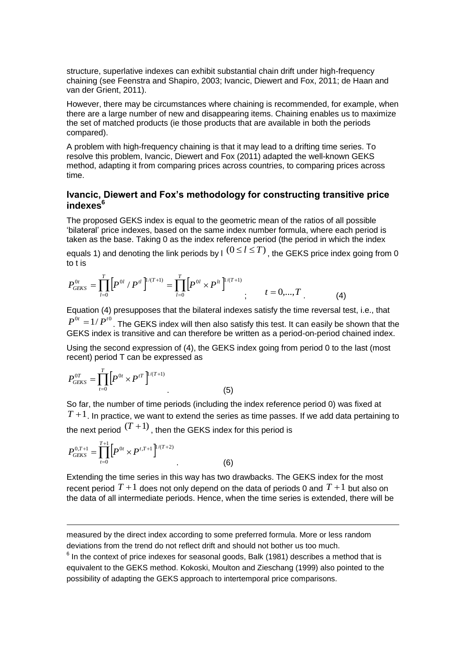structure, superlative indexes can exhibit substantial chain drift under high-frequency chaining (see Feenstra and Shapiro, 2003; Ivancic, Diewert and Fox, 2011; de Haan and van der Grient, 2011).

However, there may be circumstances where chaining is recommended, for example, when there are a large number of new and disappearing items. Chaining enables us to maximize the set of matched products (ie those products that are available in both the periods compared).

A problem with high-frequency chaining is that it may lead to a drifting time series. To resolve this problem, Ivancic, Diewert and Fox (2011) adapted the well-known GEKS method, adapting it from comparing prices across countries, to comparing prices across time.

#### **Ivancic, Diewert and Fox's methodology for constructing transitive price indexes<sup>6</sup>**

The proposed GEKS index is equal to the geometric mean of the ratios of all possible 'bilateral' price indexes, based on the same index number formula, where each period is taken as the base. Taking 0 as the index reference period (the period in which the index

equals 1) and denoting the link periods by I  $(0 \le l \le T)$  , the GEKS price index going from 0 to t is

$$
P_{GEKS}^{0t} = \prod_{l=0}^{T} \left[ P^{0l} / P^{tl} \right]^{1/(T+1)} = \prod_{l=0}^{T} \left[ P^{0l} \times P^{lt} \right]^{1/(T+1)}; \qquad t = 0,...,T
$$
 (4)

Equation (4) presupposes that the bilateral indexes satisfy the time reversal test, i.e., that  $P^{0t} = 1/P^{t0}$ . The GEKS index will then also satisfy this test. It can easily be shown that the GEKS index is transitive and can therefore be written as a period-on-period chained index.

Using the second expression of (4), the GEKS index going from period 0 to the last (most recent) period T can be expressed as

$$
P_{GEKS}^{0T} = \prod_{t=0}^{T} \left[ P^{0t} \times P^{tT} \right]^{1/(T+1)}
$$
\n(5)

So far, the number of time periods (including the index reference period 0) was fixed at  $T+1$ . In practice, we want to extend the series as time passes. If we add data pertaining to the next period  $^{(T\, +\, 1)}$  , then the GEKS index for this period is

$$
P_{GEKS}^{0,T+1} = \prod_{t=0}^{T+1} \left[ P^{0t} \times P^{t,T+1} \right]^{1/(T+2)}
$$

1

Extending the time series in this way has two drawbacks. The GEKS index for the most recent period  $T+1$  does not only depend on the data of periods 0 and  $T+1$  but also on the data of all intermediate periods. Hence, when the time series is extended, there will be

. (6)

measured by the direct index according to some preferred formula. More or less random deviations from the trend do not reflect drift and should not bother us too much.

 $6$  In the context of price indexes for seasonal goods, Balk (1981) describes a method that is equivalent to the GEKS method. Kokoski, Moulton and Zieschang (1999) also pointed to the possibility of adapting the GEKS approach to intertemporal price comparisons.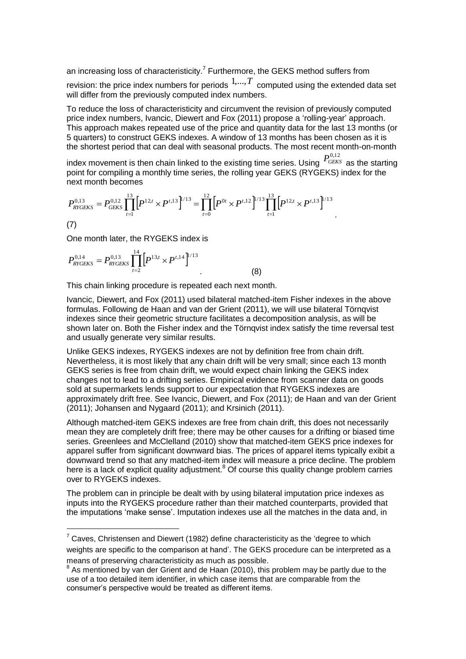an increasing loss of characteristicity.<sup>7</sup> Furthermore, the GEKS method suffers from

revision: the price index numbers for periods  $1,...,T$  computed using the extended data set will differ from the previously computed index numbers.

To reduce the loss of characteristicity and circumvent the revision of previously computed price index numbers, Ivancic, Diewert and Fox (2011) propose a 'rolling-year' approach. This approach makes repeated use of the price and quantity data for the last 13 months (or 5 quarters) to construct GEKS indexes. A window of 13 months has been chosen as it is the shortest period that can deal with seasonal products. The most recent month-on-month

index movement is then chain linked to the existing time series. Using  $\frac{P^{0,12}_{GEKS}}{GEKS}$  as the starting point for compiling a monthly time series, the rolling year GEKS (RYGEKS) index for the  $\frac{13}{1}$  $\frac{12}{1}$ 

.

next month becomes  
\n
$$
P_{RYGEKS}^{0,13} = P_{GEKS}^{0,12} \prod_{t=1}^{13} \left[ P^{12,t} \times P^{t,13} \right]^{1/13} = \prod_{t=0}^{12} \left[ P^{0t} \times P^{t,12} \right]^{1/13} \prod_{t=1}^{13} \left[ P^{12,t} \times P^{t,13} \right]^{1/13}
$$

(7)

1

One month later, the RYGEKS index is

$$
P_{\text{RYGEKS}}^{0,14} = P_{\text{RYGEKS}}^{0,13} \prod_{t=2}^{14} \left[ P_{\text{13},t} \times P_{\text{14}} \right]^{1/13} \tag{8}
$$

This chain linking procedure is repeated each next month.

Ivancic, Diewert, and Fox (2011) used bilateral matched-item Fisher indexes in the above formulas. Following de Haan and van der Grient (2011), we will use bilateral Törnqvist indexes since their geometric structure facilitates a decomposition analysis, as will be shown later on. Both the Fisher index and the Törnqvist index satisfy the time reversal test and usually generate very similar results.

Unlike GEKS indexes, RYGEKS indexes are not by definition free from chain drift. Nevertheless, it is most likely that any chain drift will be very small; since each 13 month GEKS series is free from chain drift, we would expect chain linking the GEKS index changes not to lead to a drifting series. Empirical evidence from scanner data on goods sold at supermarkets lends support to our expectation that RYGEKS indexes are approximately drift free. See Ivancic, Diewert, and Fox (2011); de Haan and van der Grient (2011); Johansen and Nygaard (2011); and Krsinich (2011).

Although matched-item GEKS indexes are free from chain drift, this does not necessarily mean they are completely drift free; there may be other causes for a drifting or biased time series. Greenlees and McClelland (2010) show that matched-item GEKS price indexes for apparel suffer from significant downward bias. The prices of apparel items typically exibit a downward trend so that any matched-item index will measure a price decline. The problem here is a lack of explicit quality adjustment.<sup>8</sup> Of course this quality change problem carries over to RYGEKS indexes.

The problem can in principle be dealt with by using bilateral imputation price indexes as inputs into the RYGEKS procedure rather than their matched counterparts, provided that the imputations 'make sense'. Imputation indexes use all the matches in the data and, in

 $7$  Caves, Christensen and Diewert (1982) define characteristicity as the 'degree to which weights are specific to the comparison at hand'. The GEKS procedure can be interpreted as a means of preserving characteristicity as much as possible.

<sup>&</sup>lt;sup>8</sup> As mentioned by van der Grient and de Haan (2010), this problem may be partly due to the use of a too detailed item identifier, in which case items that are comparable from the consumer's perspective would be treated as different items.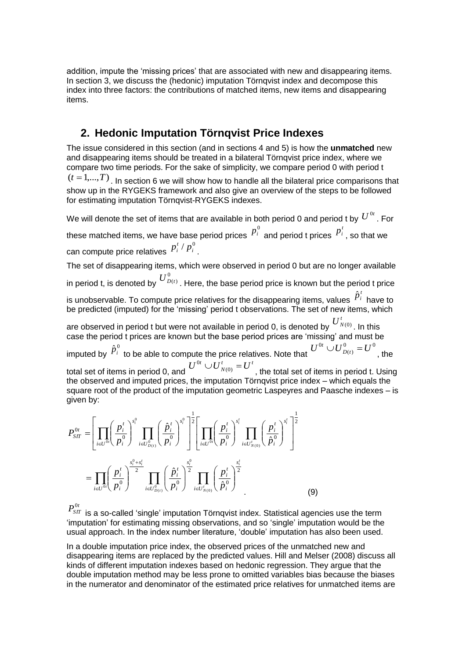addition, impute the 'missing prices' that are associated with new and disappearing items. In section 3, we discuss the (hedonic) imputation Törnqvist index and decompose this index into three factors: the contributions of matched items, new items and disappearing items.

## **2. Hedonic Imputation Törnqvist Price Indexes**

The issue considered in this section (and in sections 4 and 5) is how the **unmatched** new and disappearing items should be treated in a bilateral Törnqvist price index, where we compare two time periods. For the sake of simplicity, we compare period 0 with period t  $(t = 1,...,T)$  . In section 6 we will show how to handle all the bilateral price comparisons that show up in the RYGEKS framework and also give an overview of the steps to be followed for estimating imputation Törnqvist-RYGEKS indexes.

We will denote the set of items that are available in both period 0 and period t by  $U^{\, 0t}$  . For

these matched items, we have base period prices  $p^{\scriptscriptstyle 0}_i$  and period t prices  $p_i^t$  , so that we can compute price relatives  $/p_i^0$  $p_i^t / p_i^0$ .

The set of disappearing items, which were observed in period 0 but are no longer available in period t, is denoted by  $U^0_{D(t)}$  . Here, the base period price is known but the period t price  $\,$ 

is unobservable. To compute price relatives for the disappearing items, values  $\hat{p}^{\scriptscriptstyle t}_{i}$  have to be predicted (imputed) for the 'missing' period t observations. The set of new items, which

are observed in period t but were not available in period 0, is denoted by  $\overline{U}_{N(0)}^t$  . In this case the period t prices are known but the base period prices are 'missing' and must be imputed by  $\hat{p}^{\scriptscriptstyle 0}_i$  to be able to compute the price relatives. Note that  $0 \quad -110$  $U^{0t} \cup U^{0}_{D(t)} = U^{0}$ , the total set of items in period 0, and  $t = I^t$  $U^{0t} \cup U^{t}_{N(0)} = U$ , the total set of items in period t. Using the observed and imputed prices, the imputation Törnqvist price index – which equals the square root of the product of the imputation geometric Laspeyres and Paasche indexes – is given by:

$$
P_{ST}^{0t} = \left[ \prod_{i \in U} \left( \frac{p_i^t}{p_i^0} \right)^{s_i^0} \prod_{i \in U_{D(t)}^0} \left( \frac{\hat{p}_i^t}{p_i^0} \right)^{s_i^0} \right]^{\frac{1}{2}} \left[ \prod_{i \in U^{0i}} \left( \frac{p_i^t}{p_i^0} \right)^{s_i^t} \prod_{i \in U_{N(0)}^t} \left( \frac{p_i^t}{p_i^0} \right)^{s_i^t} \right]^{\frac{1}{2}} \right]
$$
  

$$
= \prod_{i \in U^{0i}} \left( \frac{p_i^t}{p_i^0} \right)^{\frac{s_i^0 + s_i^t}{2}} \prod_{i \in U_{D(t)}^0} \left( \frac{\hat{p}_i^t}{p_i^0} \right)^{\frac{s_i^0}{2}} \prod_{i \in U_{N(0)}^t} \left( \frac{p_i^t}{\hat{p}_i^0} \right)^{\frac{s_i^t}{2}} \tag{9}
$$

 $P_{SIT}^{\,0t}$ 

is a so-called 'single' imputation Törnqvist index. Statistical agencies use the term 'imputation' for estimating missing observations, and so 'single' imputation would be the usual approach. In the index number literature, 'double' imputation has also been used.

In a double imputation price index, the observed prices of the unmatched new and disappearing items are replaced by the predicted values. Hill and Melser (2008) discuss all kinds of different imputation indexes based on hedonic regression. They argue that the double imputation method may be less prone to omitted variables bias because the biases in the numerator and denominator of the estimated price relatives for unmatched items are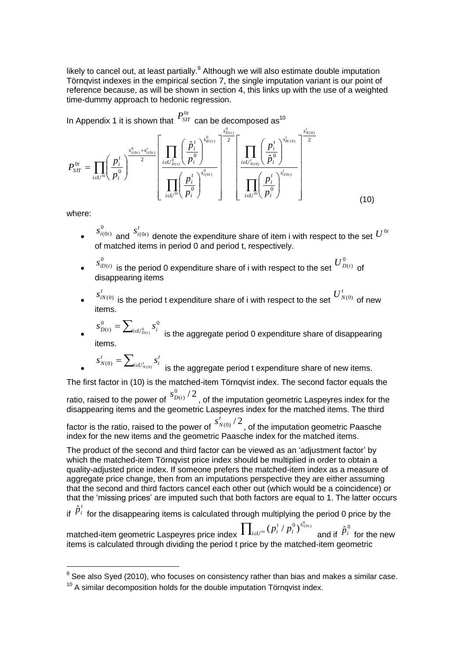likely to cancel out, at least partially. $<sup>9</sup>$  Although we will also estimate double imputation</sup> Törnqvist indexes in the empirical section 7, the single imputation variant is our point of reference because, as will be shown in section 4, this links up with the use of a weighted time-dummy approach to hedonic regression.

In Appendix 1 it is shown that  $\frac{P^{0t}_{ST}}{S}$  can be decomposed as<sup>10</sup>

$$
P_{ST}^{0t} = \prod_{i \in U^{0t}} \left(\frac{p_i^t}{p_i^0}\right)^{\frac{s_{\nu(0t)}^0 + s_{i(0t)}^t}{2}} \left[\frac{\prod_{i \in U_{D(t)}^0} \left(\frac{\hat{p}_i^t}{p_i^0}\right)^{s_{\nu(t)}^0}}{\prod_{i \in U^{0t}} \left(\frac{p_i^t}{p_i^0}\right)^{s_{i(0t)}^0}}\right]^{\frac{s_{\nu(t)}^0}{2}} \left[\frac{\prod_{i \in U_{N(0)}^t} \left(\frac{p_i^t}{\hat{p}_i^0}\right)^{s_{i(0t)}^t}}{\prod_{i \in U^{0t}} \left(\frac{p_i^t}{p_i^0}\right)^{s_{i(0t)}^t}}\right]^{\frac{s_{\nu(0)}^t}{2}}
$$
(10)

where:

1

- $\bullet$   $\left( \begin{matrix} 0 & t \\ 0 & t \end{matrix} \right)$  and *t*  $\stackrel{0}{\scriptstyle\cal{(00)}}$  and  $\stackrel{S^t_{l(0t)}}{ \scriptstyle\cal{(0t)}}$  denote the expenditure share of item i with respect to the set  $U^{0t}$ of matched items in period 0 and period t, respectively.  $s_{i(0t)}^{0}$
- $\bullet$ 0  $s^0_{iD(t)}$  is the period 0 expenditure share of i with respect to the set  $\overline{U^0_{D(t)}}$  of disappearing items
- $\bullet$  $s^t_{iN(0)}$  is the period t expenditure share of i with respect to the set  $\overline{U}_{N(0)}^t$  of new items.
- $\bullet$  $=\sum\nolimits_{i\in U_{D(t)}^0}$  $\overline{O}$   $\overline{O}$   $\overline{O}$  $s_{D(t)}^0 = \sum\nolimits_{i \in U_{D(t)}^0} s_i^0$ is the aggregate period 0 expenditure share of disappearing items.

$$
s_{N(0)}^t = \sum_{i \in U_{N(0)}^t} s_i^t
$$
 is the aggregate period t expenditure share of new items.

The first factor in (10) is the matched-item Törnqvist index. The second factor equals the ratio, raised to the power of  $\frac{S_{D(t)}^0}{2}$  $s_{D(t)}^0$  /  $2$  , of the imputation geometric Laspeyres index for the

disappearing items and the geometric Laspeyres index for the matched items. The third

factor is the ratio, raised to the power of  $\frac{{s_{N(0)}^t}/2}$  $s^t_{N(0)}/2$  , of the imputation geometric Paasche index for the new items and the geometric Paasche index for the matched items.

The product of the second and third factor can be viewed as an 'adjustment factor' by which the matched-item Törnqvist price index should be multiplied in order to obtain a quality-adjusted price index. If someone prefers the matched-item index as a measure of aggregate price change, then from an imputations perspective they are either assuming that the second and third factors cancel each other out (which would be a coincidence) or that the 'missing prices' are imputed such that both factors are equal to 1. The latter occurs

if  $\hat{p}^{\,\prime}_i$  for the disappearing items is calculated through multiplying the period 0 price by the

matched-item geometric Laspeyres price index  $\prod_{i \in U^{0r}} (p_i^t / p_i^0)^{s_{i(0)}^0}$ *i U s i*  $\sigma_{\scriptscriptstyle \!\! B} \left( p^{\scriptscriptstyle t}_i \ / \ p^{\scriptscriptstyle 0}_i \right)^{s^{\scriptscriptstyle 0}_{i(0i)}}$ and if  $\hat{p}^{\scriptscriptstyle 0}_i$  for the new items is calculated through dividing the period t price by the matched-item geometric

 $^{9}$  See also Syed (2010), who focuses on consistency rather than bias and makes a similar case.

 $10<sup>10</sup>$  A similar decomposition holds for the double imputation Törngvist index.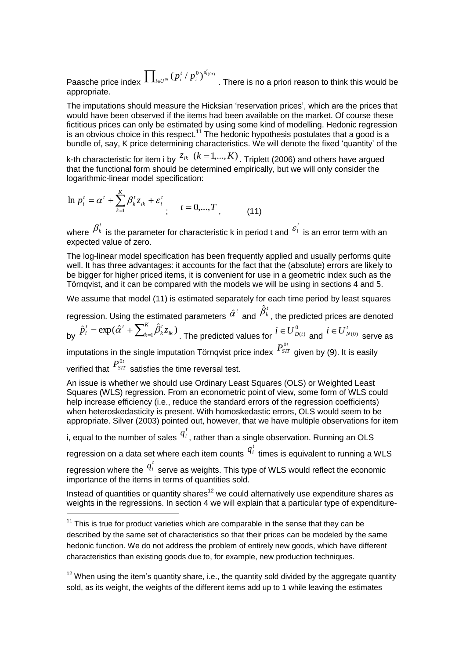Paasche price index  $\prod_{\scriptscriptstyle i\in U^{0i}}$ *t i t i U s i*  $\sigma_p\,(\,p^{\hskip.4pt t}_i \,/\, p^0_i\,)^{s^t_{i(0t)}}$ . There is no a priori reason to think this would be appropriate.

The imputations should measure the Hicksian 'reservation prices', which are the prices that would have been observed if the items had been available on the market. Of course these fictitious prices can only be estimated by using some kind of modelling. Hedonic regression is an obvious choice in this respect.<sup>11</sup> The hedonic hypothesis postulates that a good is a bundle of, say, K price determining characteristics. We will denote the fixed 'quantity' of the

k-th characteristic for item i by  $z_{ik}$   $(k = 1,...,K)$  . Triplett (2006) and others have argued that the functional form should be determined empirically, but we will only consider the logarithmic-linear model specification:

$$
\ln p_i^t = \alpha^t + \sum_{k=1}^K \beta_k^t z_{ik} + \varepsilon_i^t \qquad t = 0, ..., T \qquad (11)
$$

where  $\beta^t_k$  is the parameter for characteristic k in period t and  ${}^{\mathcal{E}^t_i}$  $\mathscr{E}_i$  is an error term with an expected value of zero.

The log-linear model specification has been frequently applied and usually performs quite well. It has three advantages: it accounts for the fact that the (absolute) errors are likely to be bigger for higher priced items, it is convenient for use in a geometric index such as the Törnqvist, and it can be compared with the models we will be using in sections 4 and 5.

We assume that model (11) is estimated separately for each time period by least squares

regression. Using the estimated parameters  $\hat{\alpha}^{\iota}$  and  $\hat{\beta}^{\scriptscriptstyle t}_k$ , the predicted prices are denoted by  $\hat{p}_i^t = \exp(\hat{\alpha}^t + \sum_{k=1}^K \hat{\beta}_k^t z_{ik})$  $\mu_{k=1}$  $\mu_k \mathcal{L}_{ik}$ *t k*  $\hat{p}_i^t = \exp(\hat{\alpha}^t + \sum_{k=1}^K \hat{\beta}_k^t z_{ik})$  . The predicted values for  $i \in U_{D(t)}^0$  and  $i \in U_{N(0)}^t$  serve as imputations in the single imputation Törnqvist price index  $\mathit{P}_{\mathit{SIT}}^{0t}$ given by (9). It is easily

verified that  $\frac{P_{ST}^{0t}}{P_{ST}^{0t}}$ satisfies the time reversal test.

1

An issue is whether we should use Ordinary Least Squares (OLS) or Weighted Least Squares (WLS) regression. From an econometric point of view, some form of WLS could help increase efficiency (i.e., reduce the standard errors of the regression coefficients) when heteroskedasticity is present. With homoskedastic errors, OLS would seem to be appropriate. Silver (2003) pointed out, however, that we have multiple observations for item

i, equal to the number of sales  $q_i^t$  , rather than a single observation. Running an OLS

regression on a data set where each item counts  $q_i^t$  times is equivalent to running a WLS

regression where the  $q_i^t$  serve as weights. This type of WLS would reflect the economic importance of the items in terms of quantities sold.

Instead of quantities or quantity shares<sup>12</sup> we could alternatively use expenditure shares as weights in the regressions. In section 4 we will explain that a particular type of expenditure-

 $12$  When using the item's quantity share, i.e., the quantity sold divided by the aggregate quantity sold, as its weight, the weights of the different items add up to 1 while leaving the estimates

 $11$  This is true for product varieties which are comparable in the sense that they can be described by the same set of characteristics so that their prices can be modeled by the same hedonic function. We do not address the problem of entirely new goods, which have different characteristics than existing goods due to, for example, new production techniques.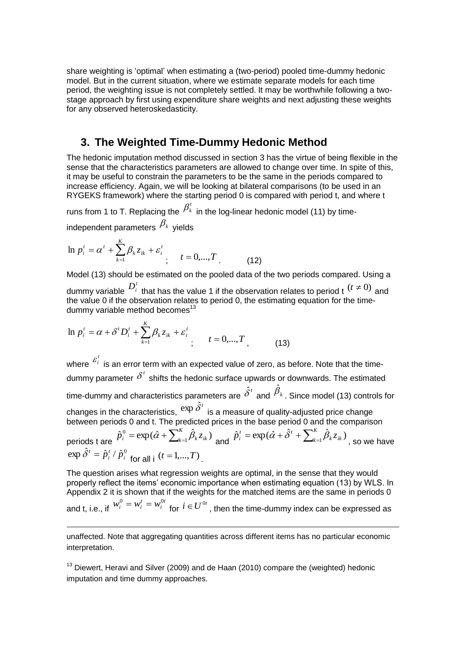share weighting is 'optimal' when estimating a (two-period) pooled time-dummy hedonic model. But in the current situation, where we estimate separate models for each time period, the weighting issue is not completely settled. It may be worthwhile following a twostage approach by first using expenditure share weights and next adjusting these weights for any observed heteroskedasticity.

### **3. The Weighted Time-Dummy Hedonic Method**

The hedonic imputation method discussed in section 3 has the virtue of being flexible in the sense that the characteristics parameters are allowed to change over time. In spite of this, it may be useful to constrain the parameters to be the same in the periods compared to increase efficiency. Again, we will be looking at bilateral comparisons (to be used in an RYGEKS framework) where the starting period 0 is compared with period t, and where t

runs from 1 to T. Replacing the  $\beta^{\scriptscriptstyle t}_{\scriptscriptstyle k}$  in the log-linear hedonic model (11) by timeindependent parameters  $\,\beta_{\scriptscriptstyle{k}}\,$  yields

$$
\ln p_i^t = \alpha^t + \sum_{k=1}^K \beta_k z_{ik} + \varepsilon_i^t \qquad t = 0, ..., T \qquad (12)
$$

Model (13) should be estimated on the pooled data of the two periods compared. Using a dummy variable  $D_i^t$  that has the value 1 if the observation relates to period t  $(t \neq 0)$  and the value 0 if the observation relates to period 0, the estimating equation for the timedummy variable method becomes $13$ 

$$
\ln p_i^t = \alpha + \delta^t D_i^t + \sum_{k=1}^K \beta_k z_{ik} + \varepsilon_i^t \qquad t = 0, ..., T \qquad (13)
$$

*i*

1

where *t*  $\mathcal{E}_i$  is an error term with an expected value of zero, as before. Note that the timedummy parameter  $\delta^t$  shifts the hedonic surface upwards or downwards. The estimated time-dummy and characteristics parameters are  $\hat{\delta}^{\iota}$  and  $\hat{\beta}_{{\scriptscriptstyle k}}$ . Since model (13) controls for changes in the characteristics,  $\exp{\hat{\delta}^t}$  is a measure of quality-adjusted price change between periods 0 and t. The predicted prices in the base period 0 and the comparison periods t are  $\hat{p}^0_i = \exp(\hat{\alpha} + \sum_{k=1}^K \hat{\beta}_k z_{ik})$  $\hat{p}_{i}^{0} = \exp(\hat{\alpha} + \sum_{k=1}^{K} \hat{\beta}_{k} z_{ik})$  and  $\hat{p}_{i}^{t} = \exp(\hat{\alpha} + \hat{\delta}^{t} + \sum_{k=1}^{K} \hat{\beta}_{k} z_{ik})$  $a_{k=1}$  $\mu_k \mathcal{L}_{ik}$  $\hat{p}_i^t = \exp(\hat{\alpha} + \hat{\delta}^t + \sum_{k=1}^{\kappa} \hat{\beta}_k z_{ik})$  , so we have  $\exp \hat{\delta}^t = \hat{p}_i^t / \hat{p}_i^0$  $\hat{\delta}^t = \hat{p}^t_i / \hat{p}^0_i$  for all i  $(t = 1,...,T)$ 

The question arises what regression weights are optimal, in the sense that they would properly reflect the items' economic importance when estimating equation (13) by WLS. In Appendix 2 it is shown that if the weights for the matched items are the same in periods 0 and t, i.e., if *t i*  $w_i^0 = w_i^t = w_i^{0t}$  for  $i \in U^{0t}$  , then the time-dummy index can be expressed as

unaffected. Note that aggregating quantities across different items has no particular economic interpretation.

 $13$  Diewert, Heravi and Silver (2009) and de Haan (2010) compare the (weighted) hedonic imputation and time dummy approaches.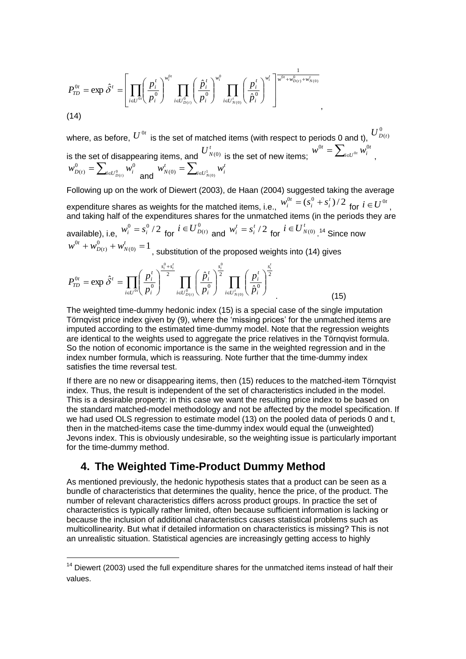$$
P_{TD}^{0t} = \exp \hat{\delta}^t = \left[ \prod_{i \in U^{0t}} \left( \frac{p_i^t}{p_i^0} \right)^{w_i^{0t}} \prod_{i \in U_{D(i)}^0} \left( \frac{\hat{p}_i^t}{p_i^0} \right)^{w_i^0} \prod_{i \in U_{N(0)}^t} \left( \frac{p_i^t}{\hat{p}_i^0} \right)^{w_i^t} \right]^{\frac{1}{w^0 t + w_{D(i)}^0 + w_{N(0)}^t}}
$$
\n(14)

where, as before,  $\overline{U}^{0t}$  is the set of matched items (with respect to periods 0 and t),  $\overline{U}^0_{D(t)}$ is the set of disappearing items, and  $U_{N(0)}^t$  is the set of new items;  $w^{0t} = \sum_{i \in U^{0t}}$ *t*  $w^{0t} = \sum_{i \in U^{0t}} w_i^0$ ,  $=\sum\nolimits_{i\in U_{D\left( t\right) }^{0}}% \sum_{i\in U_{D\left( t\right) }}\left[ \sum_{i\in U_{D\left( t\right) }}\left[ 1-\frac{1}{2}I\left( t\right) \right] \right] ,$ 0  $\boldsymbol{\nabla}$   $\mathbf{u}^{0}$  $w_{D(t)}^0 = \sum_{i \in U_{D(t)}^0} w_i^0$  and  $w_{N(0)}^t = \sum_{i \in U_{N(0)}^1} w_i^0$ *t i*  $w_{N(0)}^{t} = \sum_{i \in U_{\text{true}}^{1}} w_{i}$ 

Following up on the work of Diewert (2003), de Haan (2004) suggested taking the average expenditure shares as weights for the matched items, i.e.,  $w_i^{0t} = (s_i^0 + s_i^t)/2$ *i i*  $w_i^{0t} = (s_i^0 + s_i^t)/2$  for  $i \in U^{0t}$ , and taking half of the expenditures shares for the unmatched items (in the periods they are available), i.e,  $w_i^0 = s_i^0 / 2$  for  $i \in U_{D(t)}^0$  and  $w_i^t = s_i^t / 2$ *i*  $w_i^t = s_i^t/2$  for  $i \in U_{N(0)}^t$  14 Since now  $D(t)$  +  $W_{N(0)}^t$  = 1  $(t)$  $v_{D(t)}^0 + w_{D(t)}^0 + w_{N(0)}^t =$  $D(t)$ <sup> $\top$ </sup>*W*<sub>*N*</sub>  $w^{0t} + w_{D(t)}^0 + w_{N(0)}^t = 1$  , substitution of the proposed weights into (14) gives

$$
P_{TD}^{0t} = \exp \hat{\delta}^t = \prod_{i \in U^{0t}} \left(\frac{p_i^t}{p_i^0}\right)^{\frac{s_i^0 + s_i^t}{2}} \prod_{i \in U_{D(t)}^0} \left(\frac{\hat{p}_i^t}{p_i^0}\right)^{\frac{s_i^0}{2}} \prod_{i \in U_{N(0)}^t} \left(\frac{p_i^t}{\hat{p}_i^0}\right)^{\frac{s_i^t}{2}} \tag{15}
$$

The weighted time-dummy hedonic index (15) is a special case of the single imputation Törnqvist price index given by (9), where the 'missing prices' for the unmatched items are imputed according to the estimated time-dummy model. Note that the regression weights are identical to the weights used to aggregate the price relatives in the Törnqvist formula. So the notion of economic importance is the same in the weighted regression and in the index number formula, which is reassuring. Note further that the time-dummy index satisfies the time reversal test.

If there are no new or disappearing items, then (15) reduces to the matched-item Törnqvist index. Thus, the result is independent of the set of characteristics included in the model. This is a desirable property: in this case we want the resulting price index to be based on the standard matched-model methodology and not be affected by the model specification. If we had used OLS regression to estimate model (13) on the pooled data of periods 0 and t, then in the matched-items case the time-dummy index would equal the (unweighted) Jevons index. This is obviously undesirable, so the weighting issue is particularly important for the time-dummy method.

## **4. The Weighted Time-Product Dummy Method**

-

As mentioned previously, the hedonic hypothesis states that a product can be seen as a bundle of characteristics that determines the quality, hence the price, of the product. The number of relevant characteristics differs across product groups. In practice the set of characteristics is typically rather limited, often because sufficient information is lacking or because the inclusion of additional characteristics causes statistical problems such as multicollinearity. But what if detailed information on characteristics is missing? This is not an unrealistic situation. Statistical agencies are increasingly getting access to highly

 $14$  Diewert (2003) used the full expenditure shares for the unmatched items instead of half their values.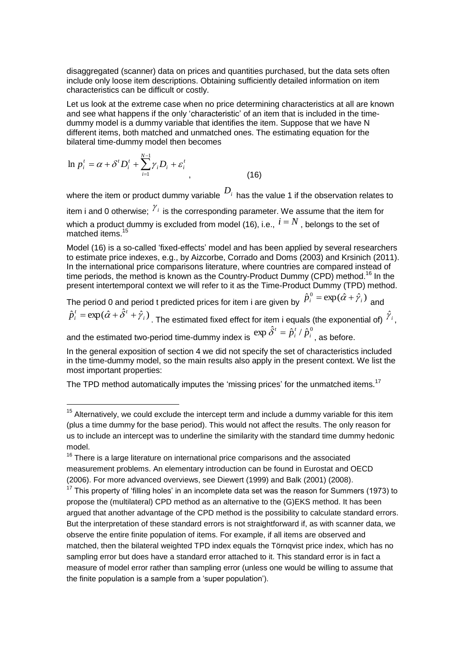disaggregated (scanner) data on prices and quantities purchased, but the data sets often include only loose item descriptions. Obtaining sufficiently detailed information on item characteristics can be difficult or costly.

Let us look at the extreme case when no price determining characteristics at all are known and see what happens if the only 'characteristic' of an item that is included in the timedummy model is a dummy variable that identifies the item. Suppose that we have N different items, both matched and unmatched ones. The estimating equation for the bilateral time-dummy model then becomes

$$
\ln p_i^t = \alpha + \delta^t D_i^t + \sum_{i=1}^{N-1} \gamma_i D_i + \varepsilon_i^t
$$
\n(16)

-

where the item or product dummy variable  $\overline{D}_i$  has the value 1 if the observation relates to item i and 0 otherwise;  $\frac{\gamma_i}{\gamma}$  is the corresponding parameter. We assume that the item for which a product dummy is excluded from model (16), i.e.,  $i = N$  , belongs to the set of matched items<sup>15</sup>

Model (16) is a so-called 'fixed-effects' model and has been applied by several researchers to estimate price indexes, e.g., by Aizcorbe, Corrado and Doms (2003) and Krsinich (2011). In the international price comparisons literature, where countries are compared instead of time periods, the method is known as the Country-Product Dummy (CPD) method.<sup>16</sup> In the present intertemporal context we will refer to it as the Time-Product Dummy (TPD) method.

The period 0 and period t predicted prices for item i are given by  $\hat{p}^0_i = \exp(\hat{\alpha} + \hat{\gamma}_i)$  and  $\hat{p}_i^t = \exp(\hat{\alpha} + \hat{\delta}^t + \hat{\gamma}_i)$ 

 $\hat{p}_i^t = \exp(\hat{\alpha} + \hat{\delta}^t + \hat{\gamma}_i)$  . The estimated fixed effect for item i equals (the exponential of)  $\hat{\gamma}_i$  ,  $\exp \hat{\delta}^t = \hat{p}_i^t / \hat{p}_i^0$ 

and the estimated two-period time-dummy index is *i*  $\hat{\delta}^t = \hat{p}^t_i \mathbin{/} \hat{p}^0_i\mathbin{/}$  as before.

In the general exposition of section 4 we did not specify the set of characteristics included in the time-dummy model, so the main results also apply in the present context. We list the most important properties:

The TPD method automatically imputes the 'missing prices' for the unmatched items.<sup>17</sup>

 $15$  Alternatively, we could exclude the intercept term and include a dummy variable for this item (plus a time dummy for the base period). This would not affect the results. The only reason for us to include an intercept was to underline the similarity with the standard time dummy hedonic model.

 $16$  There is a large literature on international price comparisons and the associated measurement problems. An elementary introduction can be found in Eurostat and OECD (2006). For more advanced overviews, see Diewert (1999) and Balk (2001) (2008).

 $17$  This property of 'filling holes' in an incomplete data set was the reason for Summers (1973) to propose the (multilateral) CPD method as an alternative to the (G)EKS method. It has been argued that another advantage of the CPD method is the possibility to calculate standard errors. But the interpretation of these standard errors is not straightforward if, as with scanner data, we observe the entire finite population of items. For example, if all items are observed and matched, then the bilateral weighted TPD index equals the Törnqvist price index, which has no sampling error but does have a standard error attached to it. This standard error is in fact a measure of model error rather than sampling error (unless one would be willing to assume that the finite population is a sample from a 'super population').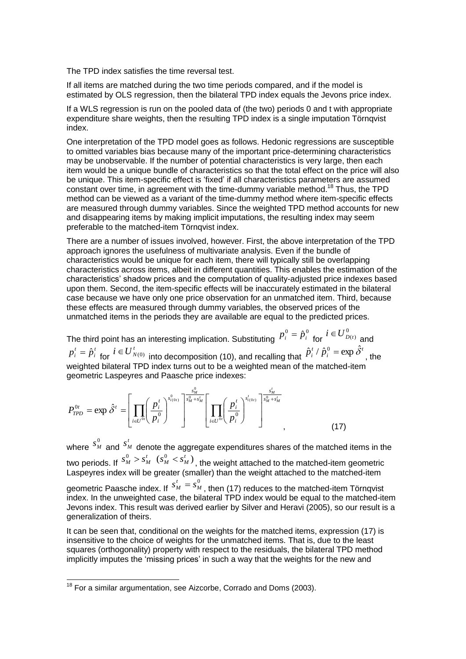The TPD index satisfies the time reversal test.

If all items are matched during the two time periods compared, and if the model is estimated by OLS regression, then the bilateral TPD index equals the Jevons price index.

If a WLS regression is run on the pooled data of (the two) periods 0 and t with appropriate expenditure share weights, then the resulting TPD index is a single imputation Törnqvist index.

One interpretation of the TPD model goes as follows. Hedonic regressions are susceptible to omitted variables bias because many of the important price-determining characteristics may be unobservable. If the number of potential characteristics is very large, then each item would be a unique bundle of characteristics so that the total effect on the price will also be unique. This item-specific effect is 'fixed' if all characteristics parameters are assumed constant over time, in agreement with the time-dummy variable method.<sup>18</sup> Thus, the TPD method can be viewed as a variant of the time-dummy method where item-specific effects are measured through dummy variables. Since the weighted TPD method accounts for new and disappearing items by making implicit imputations, the resulting index may seem preferable to the matched-item Törnqvist index.

There are a number of issues involved, however. First, the above interpretation of the TPD approach ignores the usefulness of multivariate analysis. Even if the bundle of characteristics would be unique for each item, there will typically still be overlapping characteristics across items, albeit in different quantities. This enables the estimation of the characteristics' shadow prices and the computation of quality-adjusted price indexes based upon them. Second, the item-specific effects will be inaccurately estimated in the bilateral case because we have only one price observation for an unmatched item. Third, because these effects are measured through dummy variables, the observed prices of the unmatched items in the periods they are available are equal to the predicted prices.

The third point has an interesting implication. Substituting  $p_i^0 = \hat{p}_i^0$  for  $i \in U_{D(t)}^0$  and *t i*  $p_i^t = \hat{p}_i^t$  for  $i \in U_{N(0)}^t$  into decomposition (10), and recalling that *t i*  $\hat{p}_i^t / \hat{p}_i^0 = \exp \hat{\delta}^t$ , the weighted bilateral TPD index turns out to be a weighted mean of the matched-item geometric Laspeyres and Paasche price indexes:

$$
P_{TPD}^{0t} = \exp \hat{\delta}^t = \left[ \prod_{i \in U^{0t}} \left( \frac{p_i^t}{p_i^0} \right)^{s_{i(0t)}^0} \right]^{\frac{s_M^0}{s_M^0 + s_M^t}} \left[ \prod_{i \in U^{0t}} \left( \frac{p_i^t}{p_i^0} \right)^{s_{i(0t)}^t} \right]^{\frac{s_M^t}{s_M^0 + s_M^t}}_{\text{y}} \tag{17}
$$

where  $\frac{s_{\scriptscriptstyle R}^0}{s_{\scriptscriptstyle L}^0}$  $s_M^0$  and  $s_A^t$  $s^t_{\scriptscriptstyle{M}}$  denote the aggregate expenditures shares of the matched items in the two periods. If  $s_M^0 > s_I^t$  $s_M^0 > s_M^t$  ( $s_M^0 < s_M^t$ )  $s_M^0 < s_M^t$  )<sub>,</sub> the weight attached to the matched-item geometric Laspeyres index will be greater (smaller) than the weight attached to the matched-item geometric Paasche index. If  $s_M^t = s_M^0$ *M t*  $s_M^t = s_M^0$  , then (17) reduces to the matched-item Törnqvist index. In the unweighted case, the bilateral TPD index would be equal to the matched-item Jevons index. This result was derived earlier by Silver and Heravi (2005), so our result is a generalization of theirs.

It can be seen that, conditional on the weights for the matched items, expression (17) is insensitive to the choice of weights for the unmatched items. That is, due to the least squares (orthogonality) property with respect to the residuals, the bilateral TPD method implicitly imputes the 'missing prices' in such a way that the weights for the new and

1

 $18$  For a similar argumentation, see Aizcorbe, Corrado and Doms (2003).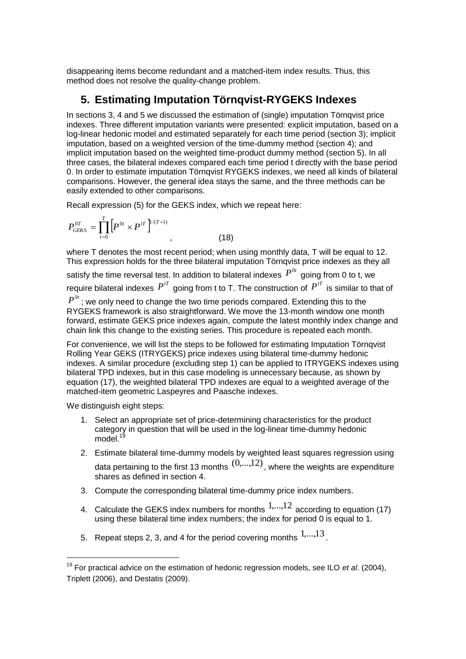disappearing items become redundant and a matched-item index results. Thus, this method does not resolve the quality-change problem.

## **5. Estimating Imputation Törnqvist-RYGEKS Indexes**

In sections 3, 4 and 5 we discussed the estimation of (single) imputation Törnqvist price indexes. Three different imputation variants were presented: explicit imputation, based on a log-linear hedonic model and estimated separately for each time period (section 3); implicit imputation, based on a weighted version of the time-dummy method (section 4); and implicit imputation based on the weighted time-product dummy method (section 5). In all three cases, the bilateral indexes compared each time period t directly with the base period 0. In order to estimate imputation Törnqvist RYGEKS indexes, we need all kinds of bilateral comparisons. However, the general idea stays the same, and the three methods can be easily extended to other comparisons.

Recall expression (5) for the GEKS index, which we repeat here:

$$
P_{GEKS}^{0T} = \prod_{t=0}^{T} \left[ P^{0t} \times P^{tT} \right]^{1/(T+1)}, \qquad (18)
$$

where T denotes the most recent period; when using monthly data, T will be equal to 12. This expression holds for the three bilateral imputation Törnqvist price indexes as they all

satisfy the time reversal test. In addition to bilateral indexes  $\bm{\it P}^{0t}$  going from 0 to t, we require bilateral indexes  $P^{T}$  going from t to T. The construction of  $P^{T}$  is similar to that of

 $P^{0t}$  ; we only need to change the two time periods compared. Extending this to the RYGEKS framework is also straightforward. We move the 13-month window one month forward, estimate GEKS price indexes again, compute the latest monthly index change and chain link this change to the existing series. This procedure is repeated each month.

For convenience, we will list the steps to be followed for estimating Imputation Törnqvist Rolling Year GEKS (ITRYGEKS) price indexes using bilateral time-dummy hedonic indexes. A similar procedure (excluding step 1) can be applied to ITRYGEKS indexes using bilateral TPD indexes, but in this case modeling is unnecessary because, as shown by equation (17), the weighted bilateral TPD indexes are equal to a weighted average of the matched-item geometric Laspeyres and Paasche indexes.

We distinguish eight steps:

-

- 1. Select an appropriate set of price-determining characteristics for the product category in question that will be used in the log-linear time-dummy hedonic  $model.<sup>1</sup>$
- 2. Estimate bilateral time-dummy models by weighted least squares regression using data pertaining to the first 13 months  $(0,...,12)$ , where the weights are expenditure shares as defined in section 4.
- 3. Compute the corresponding bilateral time-dummy price index numbers.
- 4. Calculate the GEKS index numbers for months  $1,...,12$  according to equation (17) using these bilateral time index numbers; the index for period 0 is equal to 1.
- 5. Repeat steps 2, 3, and 4 for the period covering months  $^{1,...,13}$  .

<sup>19</sup> For practical advice on the estimation of hedonic regression models, see ILO *et al*. (2004), Triplett (2006), and Destatis (2009).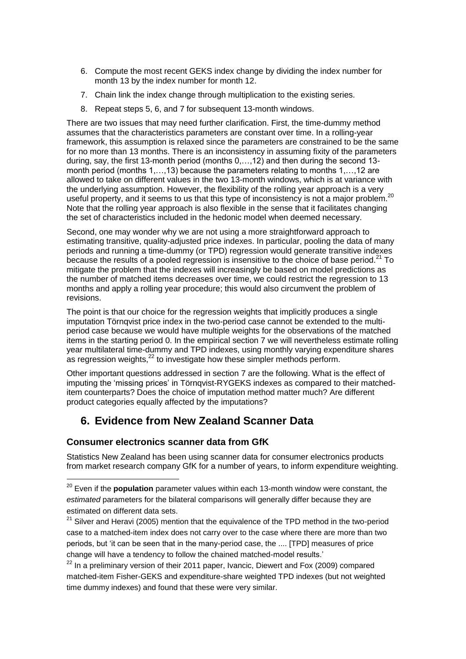- 6. Compute the most recent GEKS index change by dividing the index number for month 13 by the index number for month 12.
- 7. Chain link the index change through multiplication to the existing series.
- 8. Repeat steps 5, 6, and 7 for subsequent 13-month windows.

There are two issues that may need further clarification. First, the time-dummy method assumes that the characteristics parameters are constant over time. In a rolling-year framework, this assumption is relaxed since the parameters are constrained to be the same for no more than 13 months. There is an inconsistency in assuming fixity of the parameters during, say, the first 13-month period (months 0,…,12) and then during the second 13 month period (months 1,…,13) because the parameters relating to months 1,…,12 are allowed to take on different values in the two 13-month windows, which is at variance with the underlying assumption. However, the flexibility of the rolling year approach is a very useful property, and it seems to us that this type of inconsistency is not a major problem.<sup>20</sup> Note that the rolling year approach is also flexible in the sense that it facilitates changing the set of characteristics included in the hedonic model when deemed necessary.

Second, one may wonder why we are not using a more straightforward approach to estimating transitive, quality-adjusted price indexes. In particular, pooling the data of many periods and running a time-dummy (or TPD) regression would generate transitive indexes because the results of a pooled regression is insensitive to the choice of base period.<sup>21</sup> To mitigate the problem that the indexes will increasingly be based on model predictions as the number of matched items decreases over time, we could restrict the regression to 13 months and apply a rolling year procedure; this would also circumvent the problem of revisions.

The point is that our choice for the regression weights that implicitly produces a single imputation Törnqvist price index in the two-period case cannot be extended to the multiperiod case because we would have multiple weights for the observations of the matched items in the starting period 0. In the empirical section 7 we will nevertheless estimate rolling year multilateral time-dummy and TPD indexes, using monthly varying expenditure shares as regression weights, $^{22}$  to investigate how these simpler methods perform.

Other important questions addressed in section 7 are the following. What is the effect of imputing the 'missing prices' in Törnqvist-RYGEKS indexes as compared to their matcheditem counterparts? Does the choice of imputation method matter much? Are different product categories equally affected by the imputations?

## **6. Evidence from New Zealand Scanner Data**

#### **Consumer electronics scanner data from GfK**

-

Statistics New Zealand has been using scanner data for consumer electronics products from market research company GfK for a number of years, to inform expenditure weighting.

 $22$  In a preliminary version of their 2011 paper, Ivancic, Diewert and Fox (2009) compared matched-item Fisher-GEKS and expenditure-share weighted TPD indexes (but not weighted time dummy indexes) and found that these were very similar.

<sup>&</sup>lt;sup>20</sup> Even if the **population** parameter values within each 13-month window were constant, the *estimated* parameters for the bilateral comparisons will generally differ because they are estimated on different data sets.

 $21$  Silver and Heravi (2005) mention that the equivalence of the TPD method in the two-period case to a matched-item index does not carry over to the case where there are more than two periods, but 'it can be seen that in the many-period case, the .... [TPD] measures of price change will have a tendency to follow the chained matched-model results.'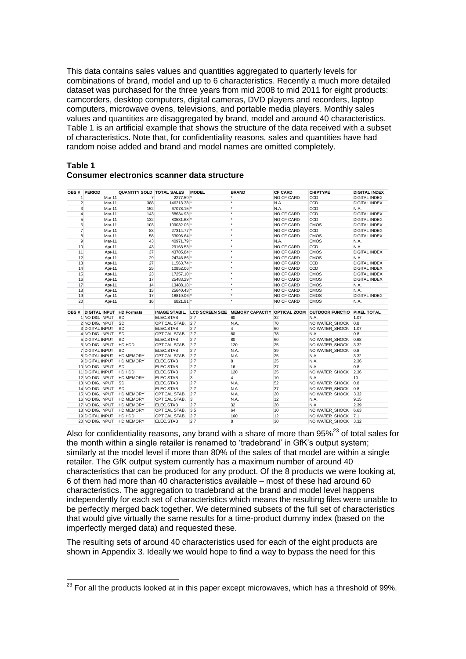This data contains sales values and quantities aggregated to quarterly levels for combinations of brand, model and up to 6 characteristics. Recently a much more detailed dataset was purchased for the three years from mid 2008 to mid 2011 for eight products: camcorders, desktop computers, digital cameras, DVD players and recorders, laptop computers, microwave ovens, televisions, and portable media players. Monthly sales values and quantities are disaggregated by brand, model and around 40 characteristics. Table 1 is an artificial example that shows the structure of the data received with a subset of characteristics. Note that, for confidentiality reasons, sales and quantities have had random noise added and brand and model names are omitted completely.

#### **Table 1**

#### **Consumer electronics scanner data structure**

|    | OBS # PERIOD            |        | QUANTITY SOLD TOTAL SALES MODEL       |               |     | <b>BRAND</b>   | <b>CF CARD</b>    | <b>CHIPTYPE</b>                                                                        | <b>DIGITAL INDEX</b> |
|----|-------------------------|--------|---------------------------------------|---------------|-----|----------------|-------------------|----------------------------------------------------------------------------------------|----------------------|
|    | 1                       | Mar-11 | $\overline{7}$                        | 2277.59 *     |     |                | NO CF CARD        | CCD                                                                                    | DIGITAL INDEX        |
|    | $\overline{2}$          | Mar-11 | 388                                   | 146213.38 *   |     | ×              | N.A.              | CCD                                                                                    | <b>DIGITAL INDEX</b> |
|    | 3                       | Mar-11 | 152                                   | 67078.15 *    |     | ×              | N.A.              | CCD                                                                                    | N.A.                 |
|    | $\overline{4}$          | Mar-11 | 143                                   | 88634.93 *    |     |                | NO CF CARD        | CCD                                                                                    | <b>DIGITAL INDEX</b> |
|    | 5                       | Mar-11 | 132                                   | 80531.68 *    |     | $\star$        | NO CF CARD        | CCD                                                                                    | <b>DIGITAL INDEX</b> |
|    | 6                       | Mar-11 | 103                                   | 109032.06 *   |     | ×              | NO CF CARD        | <b>CMOS</b>                                                                            | <b>DIGITAL INDEX</b> |
|    | $\overline{7}$          | Mar-11 | 83                                    | 27314.77 *    |     | $\star$        | NO CF CARD        | CCD                                                                                    | <b>DIGITAL INDEX</b> |
|    | 8                       | Mar-11 | 58                                    | 53096.64 *    |     | $\star$        | NO CF CARD        | <b>CMOS</b>                                                                            | DIGITAL INDEX        |
|    | 9                       | Mar-11 | 43                                    | 40971.79 *    |     | ×              | N.A.              | <b>CMOS</b>                                                                            | N.A.                 |
| 10 |                         | Apr-11 | 43                                    | 29163.53 *    |     | ×              | <b>NO CF CARD</b> | CCD                                                                                    | N.A.                 |
| 11 |                         | Apr-11 | 37                                    | 43785.84 *    |     | ×              | NO CF CARD        | <b>CMOS</b>                                                                            | <b>DIGITAL INDEX</b> |
| 12 |                         | Apr-11 | 29                                    | 24746.86 *    |     | ×              | NO CF CARD        | <b>CMOS</b>                                                                            | N.A.                 |
| 13 |                         | Apr-11 | 27                                    | 11563.74 *    |     | ×              | NO CF CARD        | CCD                                                                                    | <b>DIGITAL INDEX</b> |
| 14 |                         | Apr-11 | 25                                    | 10852.06 *    |     | ×              | NO CF CARD        | CCD                                                                                    | <b>DIGITAL INDEX</b> |
| 15 |                         | Apr-11 | 23                                    | 17257.10 *    |     |                | NO CF CARD        | <b>CMOS</b>                                                                            | <b>DIGITAL INDEX</b> |
| 16 |                         | Apr-11 | 17                                    | 25483.29 *    |     | ×              | NO CF CARD        | <b>CMOS</b>                                                                            | DIGITAL INDEX        |
| 17 |                         | Apr-11 | 14                                    | 13488.18 *    |     | $\star$        | NO CF CARD        | <b>CMOS</b>                                                                            | N.A.                 |
| 18 |                         | Apr-11 | 13                                    | 25640.43 *    |     | ×              | NO CF CARD        | <b>CMOS</b>                                                                            | N.A.                 |
| 19 |                         | Apr-11 | 17                                    | 18819.06 *    |     |                | NO CF CARD        | <b>CMOS</b>                                                                            | DIGITAL INDEX        |
| 20 |                         | Apr-11 | 16                                    | 6821.91 *     |     |                | NO CF CARD        | <b>CMOS</b>                                                                            | N.A.                 |
|    |                         |        |                                       |               |     |                |                   |                                                                                        |                      |
|    |                         |        | <b>OBS # DIGITAL INPUT HD Formats</b> |               |     |                |                   | IMAGE STABIL. LCD SCREEN SIZE MEMORY CAPACITY OPTICAL ZOOM OUTDOOR FUNCTIO PIXEL TOTAL |                      |
|    | 1 NO DIG. INPUT         |        | <b>SD</b>                             | ELEC.STAB     | 2.7 | 60             | 32                | N.A.                                                                                   | 1.07                 |
|    | 2 NO DIG. INPUT         |        | <b>SD</b>                             | OPTICAL STAB. | 2.7 | N.A.           | 70                | NO WATER SHOCK                                                                         | 0.8                  |
|    | 3 DIGITAL INPUT         |        | <b>SD</b>                             | ELEC.STAB     | 2.7 | 4              | 60                | NO WATER SHOCK                                                                         | 1.07                 |
|    | 4 NO DIG. INPUT         |        | <b>SD</b>                             | OPTICAL STAB. | 2.7 | 80             | 78                | N.A.                                                                                   | 0.8                  |
|    | 5 DIGITAL INPUT         |        | <b>SD</b>                             | ELEC.STAB     | 2.7 | 80             | 60                | NO WATER SHOCK                                                                         | 0.68                 |
|    | 6 NO DIG. INPUT         |        | HD HDD                                | OPTICAL STAB. | 2.7 | 120            | 25                | NO WATER SHOCK                                                                         | 3.32                 |
|    | 7 DIGITAL INPUT         |        | <b>SD</b>                             | ELEC.STAB     | 2.7 | N.A.           | 39                | NO WATER SHOCK                                                                         | 0.8                  |
|    | 8 DIGITAL INPUT         |        | <b>HD MEMORY</b>                      | OPTICAL STAB. | 2.7 | N.A.           | 25                | N.A.                                                                                   | 3.32                 |
|    | 9 DIGITAL INPUT         |        | <b>HD MEMORY</b>                      | ELEC.STAB     | 2.7 | 8              | 25                | N.A.                                                                                   | 2.36                 |
|    | 10 NO DIG. INPUT        |        | <b>SD</b>                             | ELEC.STAB     | 2.7 | 16             | 37                | N.A.                                                                                   | 0.8                  |
|    | 11 DIGITAL INPUT        |        | HD HDD                                | ELEC.STAB     | 2.7 | 120            | 25                | NO WATER SHOCK                                                                         | 2.36                 |
|    | 12 NO DIG. INPUT        |        | <b>HD MEMORY</b>                      | ELEC.STAB     | 3   | $\overline{4}$ | 10                | N.A.                                                                                   | 10                   |
|    | 13 NO DIG. INPUT        |        | <b>SD</b>                             | ELEC.STAB     | 2.7 | N.A.           | 52                | NO WATER SHOCK                                                                         | 0.8                  |
|    | 14 NO DIG. INPUT        |        | <b>SD</b>                             | ELEC.STAB     | 2.7 | N.A.           | 37                | NO WATER SHOCK                                                                         | 0.8                  |
|    | 15 NO DIG. INPUT        |        | <b>HD MEMORY</b>                      | OPTICAL STAB. | 2.7 | N.A.           | 20                | NO WATER SHOCK                                                                         | 3.32                 |
|    |                         |        | <b>HD MEMORY</b>                      | OPTICAL STAB. | 3   | N.A.           | 12                | N.A.                                                                                   | 9.15                 |
|    | 16 NO DIG. INPUT        |        |                                       |               |     | 32             | 20                | N.A.                                                                                   | 2.39                 |
|    | 17 NO DIG. INPUT        |        | <b>HD MEMORY</b>                      | ELEC.STAB     | 2.7 |                |                   |                                                                                        |                      |
|    |                         |        | 18 NO DIG. INPUT HD MEMORY            | OPTICAL STAB. | 3.5 | 64             | 10                | NO WATER_SHOCK 6.63                                                                    |                      |
|    | <b>19 DIGITAL INPUT</b> |        | HD HDD                                | OPTICAL STAB. | 2.7 | 160            | 12                | NO WATER SHOCK 7.1                                                                     |                      |

Also for confidentiality reasons, any brand with a share of more than  $95\%^{23}$  of total sales for the month within a single retailer is renamed to 'tradebrand' in GfK's output system; similarly at the model level if more than 80% of the sales of that model are within a single retailer. The GfK output system currently has a maximum number of around 40 characteristics that can be produced for any product. Of the 8 products we were looking at, 6 of them had more than 40 characteristics available – most of these had around 60 characteristics. The aggregation to tradebrand at the brand and model level happens independently for each set of characteristics which means the resulting files were unable to be perfectly merged back together. We determined subsets of the full set of characteristics that would give virtually the same results for a time-product dummy index (based on the imperfectly merged data) and requested these.

The resulting sets of around 40 characteristics used for each of the eight products are shown in Appendix 3. Ideally we would hope to find a way to bypass the need for this

 $^{23}$  For all the products looked at in this paper except microwaves, which has a threshold of 99%.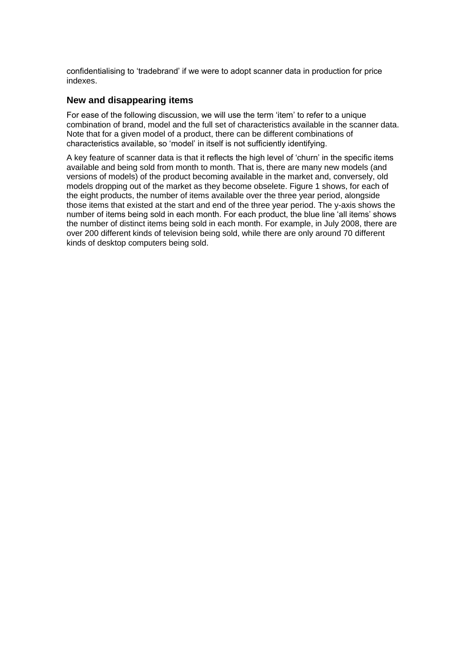confidentialising to 'tradebrand' if we were to adopt scanner data in production for price indexes.

#### **New and disappearing items**

For ease of the following discussion, we will use the term 'item' to refer to a unique combination of brand, model and the full set of characteristics available in the scanner data. Note that for a given model of a product, there can be different combinations of characteristics available, so 'model' in itself is not sufficiently identifying.

A key feature of scanner data is that it reflects the high level of 'churn' in the specific items available and being sold from month to month. That is, there are many new models (and versions of models) of the product becoming available in the market and, conversely, old models dropping out of the market as they become obselete. Figure 1 shows, for each of the eight products, the number of items available over the three year period, alongside those items that existed at the start and end of the three year period. The y-axis shows the number of items being sold in each month. For each product, the blue line 'all items' shows the number of distinct items being sold in each month. For example, in July 2008, there are over 200 different kinds of television being sold, while there are only around 70 different kinds of desktop computers being sold.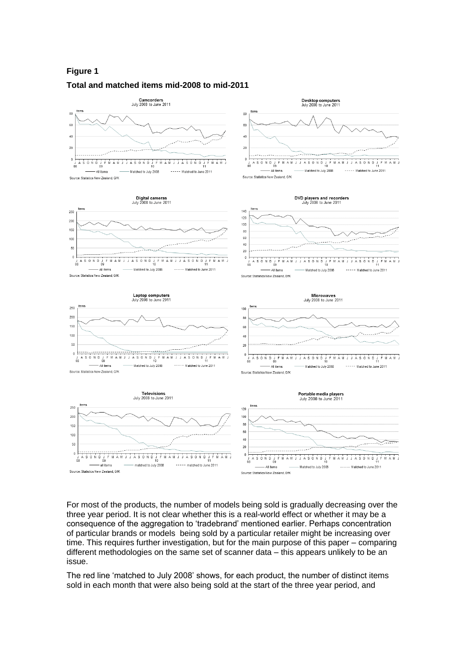### **Figure 1 Total and matched items mid-2008 to mid-2011**



For most of the products, the number of models being sold is gradually decreasing over the three year period. It is not clear whether this is a real-world effect or whether it may be a consequence of the aggregation to 'tradebrand' mentioned earlier. Perhaps concentration of particular brands or models being sold by a particular retailer might be increasing over time. This requires further investigation, but for the main purpose of this paper – comparing different methodologies on the same set of scanner data – this appears unlikely to be an issue.

The red line 'matched to July 2008' shows, for each product, the number of distinct items sold in each month that were also being sold at the start of the three year period, and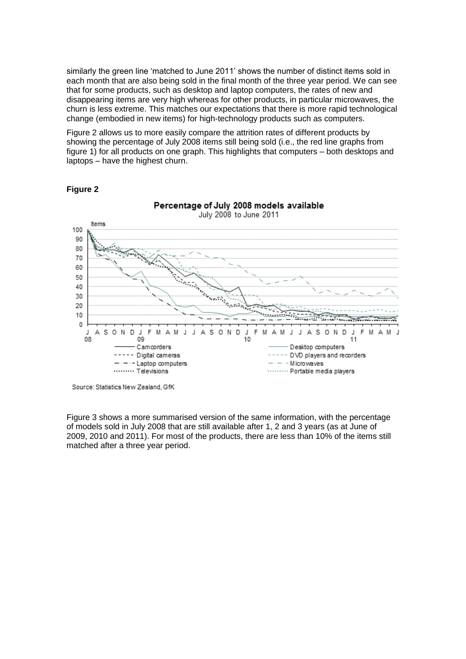similarly the green line 'matched to June 2011' shows the number of distinct items sold in each month that are also being sold in the final month of the three year period. We can see that for some products, such as desktop and laptop computers, the rates of new and disappearing items are very high whereas for other products, in particular microwaves, the churn is less extreme. This matches our expectations that there is more rapid technological change (embodied in new items) for high-technology products such as computers.

Figure 2 allows us to more easily compare the attrition rates of different products by showing the percentage of July 2008 items still being sold (i.e., the red line graphs from figure 1) for all products on one graph. This highlights that computers – both desktops and laptops – have the highest churn.



#### **Figure 2**

Figure 3 shows a more summarised version of the same information, with the percentage of models sold in July 2008 that are still available after 1, 2 and 3 years (as at June of 2009, 2010 and 2011). For most of the products, there are less than 10% of the items still matched after a three year period.

Source: Statistics New Zealand, GfK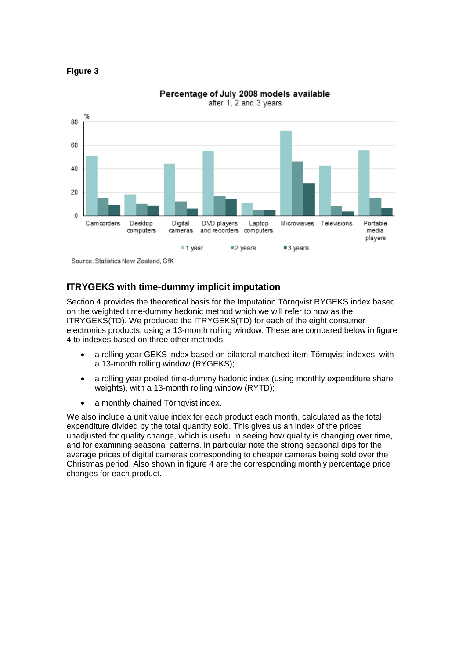

#### **Figure 3**

## **ITRYGEKS with time-dummy implicit imputation**

Section 4 provides the theoretical basis for the Imputation Törnqvist RYGEKS index based on the weighted time-dummy hedonic method which we will refer to now as the ITRYGEKS(TD). We produced the ITRYGEKS(TD) for each of the eight consumer electronics products, using a 13-month rolling window. These are compared below in figure 4 to indexes based on three other methods:

- a rolling year GEKS index based on bilateral matched-item Törnqvist indexes, with a 13-month rolling window (RYGEKS);
- a rolling year pooled time-dummy hedonic index (using monthly expenditure share weights), with a 13-month rolling window (RYTD);
- a monthly chained Törnqvist index.

We also include a unit value index for each product each month, calculated as the total expenditure divided by the total quantity sold. This gives us an index of the prices unadjusted for quality change, which is useful in seeing how quality is changing over time, and for examining seasonal patterns. In particular note the strong seasonal dips for the average prices of digital cameras corresponding to cheaper cameras being sold over the Christmas period. Also shown in figure 4 are the corresponding monthly percentage price changes for each product.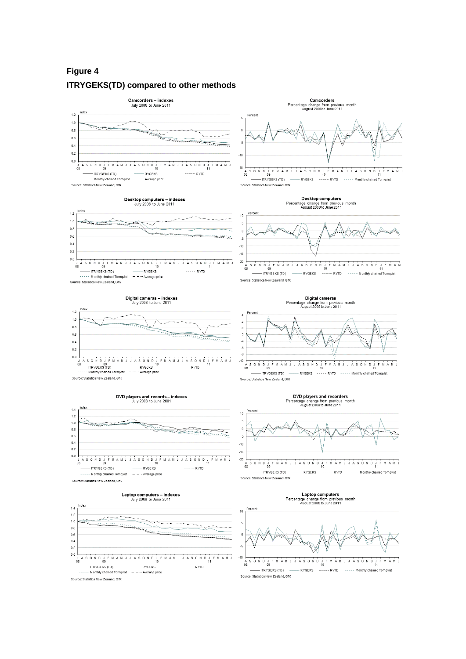## **Figure 4 ITRYGEKS(TD) compared to other methods**



Desktop computers - indexes<br>July 2008 to June 2011

Camcorders Percentage change from previous month<br>August 2008 to June 2011 Percent ś יי יי ייט איז די ייט אוי איז די ייט אוי די ייט אוי ייט א די ייט א די ייט איז די ייט איז די ייט איז די ייט א די<br>דאר די די RYGEKS ------ RYTD ----- Monthly chained Tornqvist ו---- RYGEKS ------ RYTD ----- Monthly chained To

Source: Statistics New Zealand, GfK

#### Desktop computers Desktop computers<br>Percentage change from previous month<br>August 2008 to June 2011



Digital cameras<br>Percentage change from previous month<br>August 2008 to June 2011

Percent

 $\overline{z}$ 

 $\ddot{z}$ 

 $\epsilon$ 

 $-10$ 



- RYGEKS

 $-\cdot$  - - Average prid

JASONDJFMAMJJASONDJFMAMJ<br>10

 $--- RYTD$ 



A S O N D J F M A M J

- ITRYGEKS (TD)

 $1.2$ 

 $1.0$ 

 $0.8$  $0.6$ 

 $0.4$ 

 $0.2$ 

 $0<sub>0</sub>$ 

**DVD players and records – indexes**<br>July 2008 to June 2001







# DVD players and recorders<br>Percentage change from previous month<br>August 2008 to June 2011



Source: Statistics New Zealand, GfK

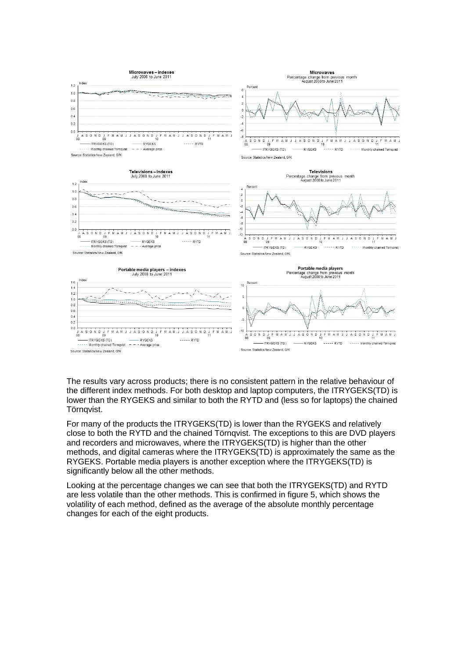

The results vary across products; there is no consistent pattern in the relative behaviour of the different index methods. For both desktop and laptop computers, the ITRYGEKS(TD) is lower than the RYGEKS and similar to both the RYTD and (less so for laptops) the chained Törnqvist.

For many of the products the ITRYGEKS(TD) is lower than the RYGEKS and relatively close to both the RYTD and the chained Törnqvist. The exceptions to this are DVD players and recorders and microwaves, where the ITRYGEKS(TD) is higher than the other methods, and digital cameras where the ITRYGEKS(TD) is approximately the same as the RYGEKS. Portable media players is another exception where the ITRYGEKS(TD) is significantly below all the other methods.

Looking at the percentage changes we can see that both the ITRYGEKS(TD) and RYTD are less volatile than the other methods. This is confirmed in figure 5, which shows the volatility of each method, defined as the average of the absolute monthly percentage changes for each of the eight products.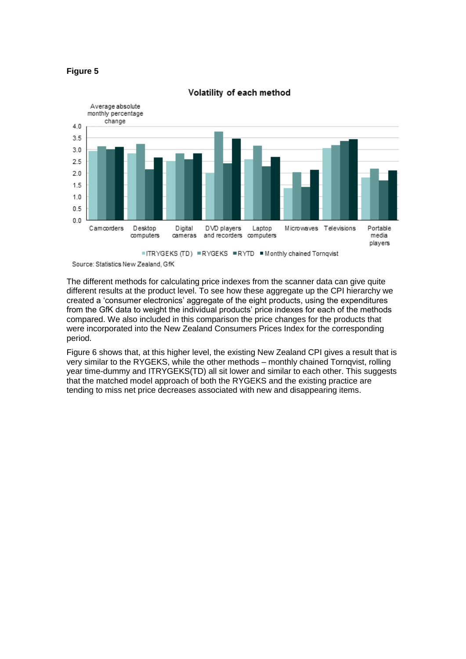



#### Volatility of each method

The different methods for calculating price indexes from the scanner data can give quite different results at the product level. To see how these aggregate up the CPI hierarchy we created a 'consumer electronics' aggregate of the eight products, using the expenditures from the GfK data to weight the individual products' price indexes for each of the methods compared. We also included in this comparison the price changes for the products that were incorporated into the New Zealand Consumers Prices Index for the corresponding period.

Figure 6 shows that, at this higher level, the existing New Zealand CPI gives a result that is very similar to the RYGEKS, while the other methods – monthly chained Tornqvist, rolling year time-dummy and ITRYGEKS(TD) all sit lower and similar to each other. This suggests that the matched model approach of both the RYGEKS and the existing practice are tending to miss net price decreases associated with new and disappearing items.

Source: Statistics New Zealand, GfK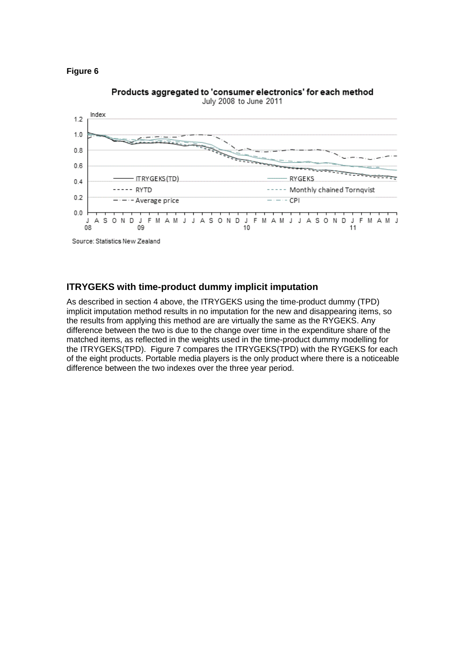



Products aggregated to 'consumer electronics' for each method

#### **ITRYGEKS with time-product dummy implicit imputation**

As described in section 4 above, the ITRYGEKS using the time-product dummy (TPD) implicit imputation method results in no imputation for the new and disappearing items, so the results from applying this method are are virtually the same as the RYGEKS. Any difference between the two is due to the change over time in the expenditure share of the matched items, as reflected in the weights used in the time-product dummy modelling for the ITRYGEKS(TPD). Figure 7 compares the ITRYGEKS(TPD) with the RYGEKS for each of the eight products. Portable media players is the only product where there is a noticeable difference between the two indexes over the three year period.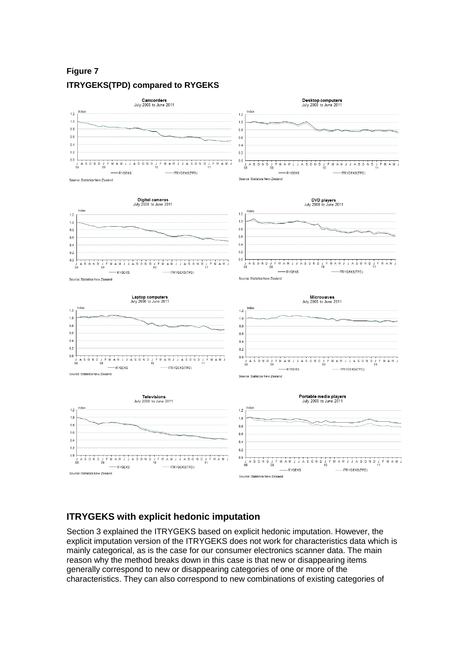## **Figure 7 ITRYGEKS(TPD) compared to RYGEKS**



#### **ITRYGEKS with explicit hedonic imputation**

Section 3 explained the ITRYGEKS based on explicit hedonic imputation. However, the explicit imputation version of the ITRYGEKS does not work for characteristics data which is mainly categorical, as is the case for our consumer electronics scanner data. The main reason why the method breaks down in this case is that new or disappearing items generally correspond to new or disappearing categories of one or more of the characteristics. They can also correspond to new combinations of existing categories of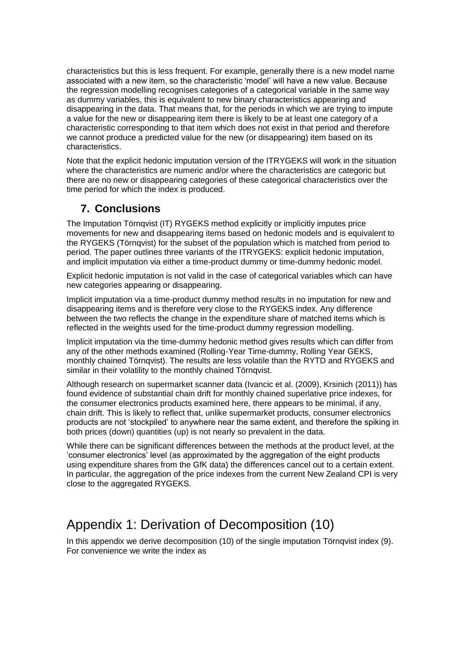characteristics but this is less frequent. For example, generally there is a new model name associated with a new item, so the characteristic 'model' will have a new value. Because the regression modelling recognises categories of a categorical variable in the same way as dummy variables, this is equivalent to new binary characteristics appearing and disappearing in the data. That means that, for the periods in which we are trying to impute a value for the new or disappearing item there is likely to be at least one category of a characteristic corresponding to that item which does not exist in that period and therefore we cannot produce a predicted value for the new (or disappearing) item based on its characteristics.

Note that the explicit hedonic imputation version of the ITRYGEKS will work in the situation where the characteristics are numeric and/or where the characteristics are categoric but there are no new or disappearing categories of these categorical characteristics over the time period for which the index is produced.

## **7. Conclusions**

The Imputation Törnqvist (IT) RYGEKS method explicitly or implicitly imputes price movements for new and disappearing items based on hedonic models and is equivalent to the RYGEKS (Törnqvist) for the subset of the population which is matched from period to period. The paper outlines three variants of the ITRYGEKS: explicit hedonic imputation, and implicit imputation via either a time-product dummy or time-dummy hedonic model.

Explicit hedonic imputation is not valid in the case of categorical variables which can have new categories appearing or disappearing.

Implicit imputation via a time-product dummy method results in no imputation for new and disappearing items and is therefore very close to the RYGEKS index. Any difference between the two reflects the change in the expenditure share of matched items which is reflected in the weights used for the time-product dummy regression modelling.

Implicit imputation via the time-dummy hedonic method gives results which can differ from any of the other methods examined (Rolling-Year Time-dummy, Rolling Year GEKS, monthly chained Törnqvist). The results are less volatile than the RYTD and RYGEKS and similar in their volatility to the monthly chained Törnqvist.

Although research on supermarket scanner data (Ivancic et al. (2009), Krsinich (2011)) has found evidence of substantial chain drift for monthly chained superlative price indexes, for the consumer electronics products examined here, there appears to be minimal, if any, chain drift. This is likely to reflect that, unlike supermarket products, consumer electronics products are not 'stockpiled' to anywhere near the same extent, and therefore the spiking in both prices (down) quantities (up) is not nearly so prevalent in the data.

While there can be significant differences between the methods at the product level, at the 'consumer electronics' level (as approximated by the aggregation of the eight products using expenditure shares from the GfK data) the differences cancel out to a certain extent. In particular, the aggregation of the price indexes from the current New Zealand CPI is very close to the aggregated RYGEKS.

## Appendix 1: Derivation of Decomposition (10)

In this appendix we derive decomposition (10) of the single imputation Törnqvist index (9). For convenience we write the index as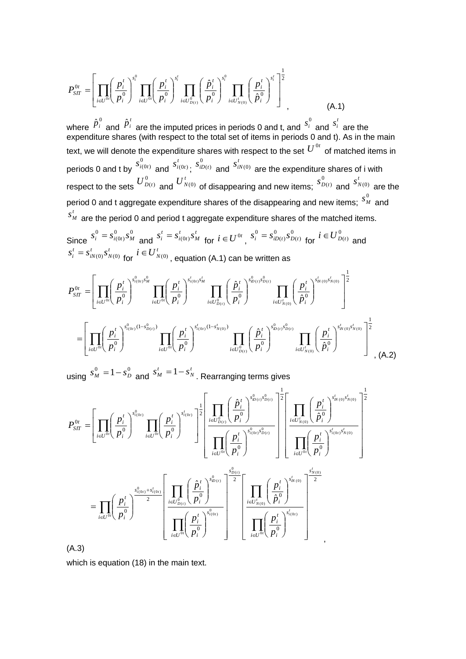$$
P_{SIT}^{0t} = \left[ \prod_{i \in U^{0i}} \left( \frac{p_i^t}{p_i^0} \right)^{s_i^0} \prod_{i \in U^{0i}} \left( \frac{p_i^t}{p_i^0} \right)^{s_i^t} \prod_{i \in U_{D(t)}^0} \left( \frac{\hat{p}_i^t}{p_i^0} \right)^{s_i^0} \prod_{i \in U_{N(0)}^t} \left( \frac{p_i^t}{\hat{p}_i^0} \right)^{s_i^t} \right]^{1/2}
$$
\n(A.1)

where  $\hat{p}^{\,0}_i$  and  $\hat{p}^{\,\prime}_i$  are the imputed prices in periods 0 and t, and  $\overline{s}^{\,0}_i$  $s_i^0$  and *t*  $s_i^t$  are the expenditure shares (with respect to the total set of items in periods 0 and t). As in the main text, we will denote the expenditure shares with respect to the set  $\overline{U}^{0t}$  of matched items in periods 0 and t by  $\frac{1}{1}(0t)$  and *t*  $s_{i(0 t)}^t$ 0  $s_{iD(t)}^0$  and  $s_{iN(0)}^t$  are the expenditure shares of i with respect to the sets  $U_{D(t)}^0$  and  $U_{N(0)}^t$  of disappearing and new items;  $\mathbf 0$  $s_{D(t)}^0$  and *t*  $s^t_{N(0)}$  are the period 0 and t aggregate expenditure shares of the disappearing and new items;  $\frac{S^0_{~h}}{\sigma}$  $s^0_M$  and *t*  $s^{\scriptscriptstyle t}_{\scriptscriptstyle M}$  are the period 0 and period t aggregate expenditure shares of the matched items. 0  $s^0_{i(0t)}$ 

Since  $0 \quad 0$  $(0 t)$ 0  $s_i^0 = s_{i(0t)}^0 s_M^0$  and *t M t*  $i(0t)$ *t*  $s_i^t = s_{i(0t)}^t s_M^t$  for  $i \in U^{0t}$ ,  $s_i^0 = s_{iD(t)}^0 s_L^0$  $(t)$ 0  $(t)$ 0  $s_i^0 = s_{iD(t)}^0 s_{D(t)}^0$  for  $i \in U_{D(t)}^0$  and *t N t iN t*  $s_i^t = s_{iN(0)}^t s_{N(0)}^t$  for  $i \in U_{N(0)}^t$  , equation (A.1) can be written as

$$
P_{ST}^{0t} = \left[ \prod_{i \in U^{0}} \left( \frac{p_i^t}{p_i^0} \right)^{s_{i(0t)}^0 s_M^{0}} \prod_{i \in U^{0}} \left( \frac{p_i^t}{p_i^0} \right)^{s_{i(0t)}^t s_M^{t}} \prod_{i \in U_{D(t)}^0} \left( \frac{\hat{p}_i^t}{p_i^0} \right)^{s_{B(t)}^0 s_{D(t)}^{0}} \prod_{i \in U_{N(0)}^t} \left( \frac{p_i^t}{p_i^0} \right)^{s_{B(t)}^0 s_{D(t)}^{0}} \prod_{i \in U_{N(0)}^t} \left( \frac{p_i^t}{\hat{p}_i^0} \right)^{s_{B(t)}^t s_{D(t)}^{0}} \right]^{\frac{1}{2}}
$$

$$
= \left[ \prod_{i \in U^{0t}} \left( \frac{p_i^t}{p_i^0} \right)^{s_{i(0t)}^0 (1 - s_{D(t)}^0)} \prod_{i \in U^{0t}} \left( \frac{p_i^t}{p_i^0} \right)^{s_{B(t)}^0 (1 - s_{D(t)}^t)} \prod_{i \in U_{D(t)}^0} \left( \frac{\hat{p}_i^t}{p_i^0} \right)^{s_{B(t)}^0 s_{D(t)}^{0}} \prod_{i \in U_{N(0)}^t} \left( \frac{p_i^t}{\hat{p}_i^0} \right)^{s_{K(0)}^t s_{N(0)}^{0}} \right]^{\frac{1}{2}}
$$
(A.2)

using  $s_M^0 = 1 - s_D^0$  and *t N t*  $s_M^t = 1 - s_N^t$  . Rearranging terms gives

$$
P_{ST}^{0t} = \left[ \prod_{i \in U^{0t}} \left( \frac{p_i^t}{p_i^0} \right)^{s_{i(0t)}^0} \prod_{i \in U^{0t}} \left( \frac{p_i^t}{p_i^0} \right)^{s_{i(0t)}^t} \right]^{\frac{1}{2}} \left[ \prod_{i \in U^{0t}} \left( \frac{\hat{p}_i^t}{p_i^0} \right)^{s_{i(0t)}^0 s_{D(t)}^0} \right]^{\frac{1}{2}} \left[ \prod_{i \in U^{0t}} \left( \frac{p_i^t}{p_i^0} \right)^{s_{i(0t)}^0 s_{D(t)}^0} \right]^{\frac{1}{2}} \left[ \prod_{i \in U^{0t}} \left( \frac{p_i^t}{p_i^0} \right)^{s_{i(0t)}^0 s_{D(t)}^0} \right]^{\frac{1}{2}} \left[ \prod_{i \in U^{0t}} \left( \frac{p_i^t}{p_i^0} \right)^{s_{i(0t)}^0 s_{D(t)}^0} \right]^{\frac{1}{2}} \left[ \prod_{i \in U^{0t}} \left( \frac{p_i^t}{p_i^0} \right)^{s_{i(0t)}^0 s_{D(t)}^0} \right]^{\frac{1}{2}} \right]
$$

$$
= \prod_{i \in U^{0t}} \left( \frac{p_i^t}{p_i^0} \right)^{\frac{S_{i(0t)}^0 + S_{i(0t)}^t}{2}} \left[ \prod_{i \in U^{0t}} \left( \frac{\hat{p}_i^t}{p_i^0} \right)^{s_{D(t)}^0} \right]^{\frac{S_{D(t)}^0}{2}} \left[ \prod_{i \in U^{0t}} \left( \frac{p_i^t}{p_i^0} \right)^{s_{i(0t)}^t} \right]^{\frac{S_{N(0)}^t}{2}} \right]
$$

(A.3)

which is equation (18) in the main text.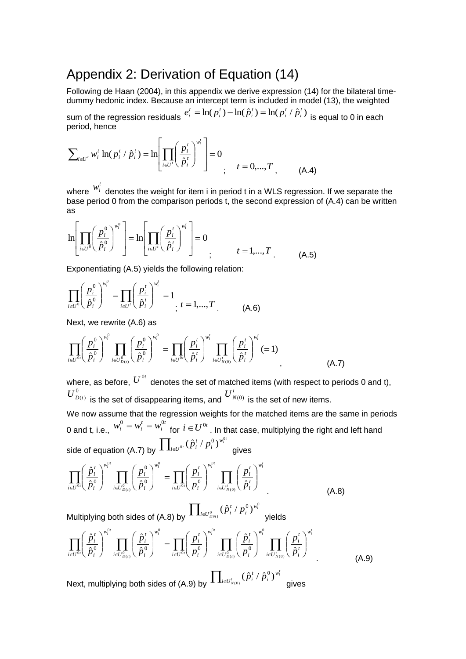## Appendix 2: Derivation of Equation (14)

Following de Haan (2004), in this appendix we derive expression (14) for the bilateral timedummy hedonic index. Because an intercept term is included in model (13), the weighted

sum of the regression residuals  $e_i^t = \ln(p_i^t) - \ln(\hat p_i^t) = \ln(p_i^t / \hat p_i^t)$ *i t i t i t i*  $e_i^t = \ln(p_i^t) - \ln(\hat{p}_i^t) = \ln(p_i^t / \hat{p}_i^t)$  is equal to 0 in each period, hence

$$
\sum_{i \in U'} w_i^t \ln(p_i^t / \hat{p}_i^t) = \ln \left[ \prod_{i \in U'} \left( \frac{p_i^t}{\hat{p}_i^t} \right)^{w_i^t} \right] = 0
$$
\n
$$
t = 0, ..., T, \qquad (A.4)
$$

where  $w_i^t$  denotes the weight for item i in period t in a WLS regression. If we separate the base period 0 from the comparison periods t, the second expression of (A.4) can be written as

$$
\ln\left[\prod_{i\in U^0}\left(\frac{p_i^0}{\hat{p}_i^0}\right)^{w_i^0}\right] = \ln\left[\prod_{i\in U^t}\left(\frac{p_i^t}{\hat{p}_i^t}\right)^{w_i^t}\right] = 0
$$
\n
$$
t = 1,...,T
$$
\n(A.5)

Exponentiating (A.5) yields the following relation:

$$
\prod_{i \in U^0} \left(\frac{p_i^0}{\hat{p}_i^0}\right)^{w_i^0} = \prod_{i \in U^1} \left(\frac{p_i^t}{\hat{p}_i^t}\right)^{w_i^t} = 1, \quad t = 1, \dots, T
$$
\n(A.6)

Next, we rewrite (A.6) as

$$
\prod_{i\in U^{0i}}\left(\frac{p_i^0}{\hat{p}_i^0}\right)^{w_i^0}\prod_{i\in U^0_{D(i)}}\left(\frac{p_i^0}{\hat{p}_i^0}\right)^{w_i^0} = \prod_{i\in U^{0i}}\left(\frac{p_i^t}{\hat{p}_i^t}\right)^{w_i^t}\prod_{i\in U^t_{N(0)}}\left(\frac{p_i^t}{\hat{p}_i^t}\right)^{w_i^t} (=1)
$$
\n(A.7)

where, as before,  $U^{0t}$  denotes the set of matched items (with respect to periods 0 and t),  $U_{D(t)}^0$  is the set of disappearing items, and  $U_{N(0)}^t$  is the set of new items.

We now assume that the regression weights for the matched items are the same in periods 0 and t, i.e., *t i*  $w_i^0 = w_i^t = w_i^{0t}$  for  $i \in U^{0t}$  . In that case, multiplying the right and left hand side of equation (A.7) by  $\prod_{\scriptscriptstyle i\in U^{0i}}$  $\int_{i\in U^{0t}}(\hat{p}_i^t$  /  $p_i^0)^{w_i^{0t}}$ *w i*  $_{0i}$   $(\hat{p}_{i}^{t}$  /  $p_{i}^{0})^{w_{i}^{0}}$ gives

$$
\prod_{i\in U^{0}}\left(\frac{\hat{p}_{i}^{t}}{\hat{p}_{i}^{0}}\right)^{w_{i}^{0t}}\prod_{i\in U^{0}_{D(t)}}\left(\frac{p_{i}^{0}}{\hat{p}_{i}^{0}}\right)^{w_{i}^{0}}=\prod_{i\in U^{0t}}\left(\frac{p_{i}^{t}}{p_{i}^{0}}\right)^{w_{i}^{0t}}\prod_{i\in U_{N(0)}^{t}}\left(\frac{p_{i}^{t}}{\hat{p}_{i}^{t}}\right)^{w_{i}^{t}}
$$
(A.8)

Multiplying both sides of (A.8) by  $\prod_{i\in U^0_{D^{g_i}} }$  $(\hat{p}^{\scriptscriptstyle t}_i \, / \, p^0_i)^{w^0_i}$ *D t*  $\hat{p}_{i\in U_{D9t\backslash }^{0}}^{i}(\hat{p}_{i}^{\mathrm{\scriptscriptstyle T}}/\,p_{i}^{\mathrm{\scriptscriptstyle U}})^{w_{i}}$ *w i*  $\hat{p}^{\scriptscriptstyle t}_i$  /  $p^{\scriptscriptstyle 0}_i$   $\rangle^{w^{\scriptscriptstyle 0}_i}$  yields

$$
\prod_{i\in U^{0i}}\left(\frac{\hat{p}_i^t}{\hat{p}_i^0}\right)^{w_i^{0t}}\prod_{i\in U^0_{D(t)}}\left(\frac{\hat{p}_i^t}{\hat{p}_i^0}\right)^{w_i^{0}} = \prod_{i\in U^{0i}}\left(\frac{p_i^t}{p_i^0}\right)^{w_i^{0t}}\prod_{i\in U^0_{D(t)}}\left(\frac{\hat{p}_i^t}{p_i^0}\right)^{w_i^{0t}}\prod_{i\in U^t_{D(t)}}\left(\frac{\hat{p}_i^t}{p_i^0}\right)^{w_i^{0t}}\prod_{i\in U^t_{N(0)}}\left(\frac{p_i^t}{\hat{p}_i^t}\right)^{w_i^{0t}}
$$
\n(A.9)

\nNext, multiplying both sides of (A.9) by  $\prod_{i\in U^t_{N(0)}}\left(\hat{p}_i^t / \hat{p}_i^0\right)^{w_i^{t}}$  gives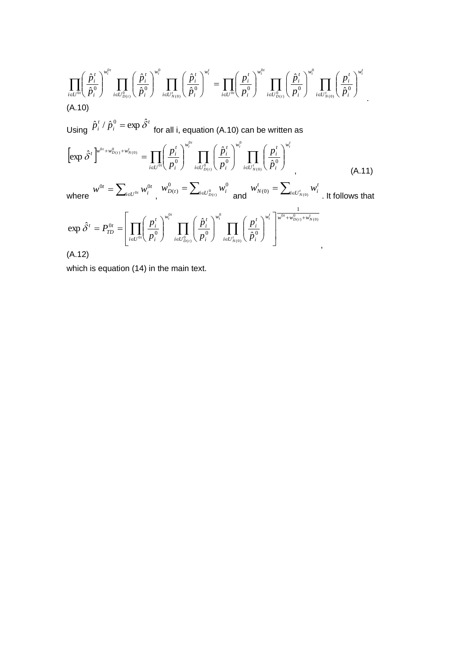$$
\prod_{i\in U^{0i}}\left(\frac{\hat{p}_i^t}{\hat{p}_i^0}\right)^{w_i^{0t}}\prod_{i\in U^0_{D(t)}}\left(\frac{\hat{p}_i^t}{\hat{p}_i^0}\right)^{w_i^0}\prod_{i\in U^t_{N(0)}}\left(\frac{\hat{p}_i^t}{\hat{p}_i^0}\right)^{w_i^t}=\prod_{i\in U^{0i}}\left(\frac{p_i^t}{p_i^0}\right)^{w_i^{0t}}\prod_{i\in U^0_{D(t)}}\left(\frac{\hat{p}_i^t}{p_i^0}\right)^{w_i^0}\prod_{i\in U^t_{N(0)}}\left(\frac{p_i^t}{\hat{p}_i^0}\right)^{w_i^t}
$$
\n(A.10)

Using *t i*  $\hat{p}^t_i$  /  $\hat{p}^0_i$  =  $\exp \hat{\delta}^t\,$  for all i, equation (A.10) can be written as

$$
\left[\exp \hat{\delta}^{t}\right]^{w^{0t}+w^{0}_{D(t)}+w^{t}_{N(0)}} = \prod_{i\in U^{0t}} \left(\frac{p_{i}^{t}}{p_{i}^{0}}\right)^{w_{i}^{0t}} \prod_{i\in U^{0}_{D(t)}} \left(\frac{\hat{p}_{i}^{t}}{p_{i}^{0}}\right)^{w_{i}^{0}} \prod_{i\in U^{t}_{N(0)}} \left(\frac{p_{i}^{t}}{\hat{p}_{i}^{0}}\right)^{w_{i}^{t}}
$$
\nwhere\n
$$
w^{0t} = \sum_{i\in U^{0t}} w_{i}^{0t}, \quad w_{D(t)}^{0} = \sum_{i\in U^{0}_{D(t)}} w_{i}^{0} \text{ and } w_{N(0)}^{t} = \sum_{i\in U^{t}_{N(0)}} w_{i}^{t} \text{ (A.11)}
$$
\nwhere\n
$$
\hat{\delta}^{t} = P_{TD}^{0t} = \left[\prod_{i\in U^{0t}} \left(\frac{p_{i}^{t}}{p_{i}^{0}}\right)^{w_{i}^{0t}} \prod_{i\in U^{0}_{D(t)}} \left(\frac{\hat{p}_{i}^{t}}{p_{i}^{0}}\right)^{w_{i}^{0}} \prod_{i\in U^{t}_{N(0)}} \left(\frac{p_{i}^{t}}{\hat{p}_{i}^{0}}\right)^{w_{i}^{t}} \right] \frac{\frac{1}{w^{0t}+w_{D(t)}^{0}+w_{N(0)}^{t}}}{\left(\frac{1}{w^{0t}+w_{D(t)}^{0}+w_{N(0)}^{t}}\right)^{t}}
$$
\n(A.12)

which is equation (14) in the main text.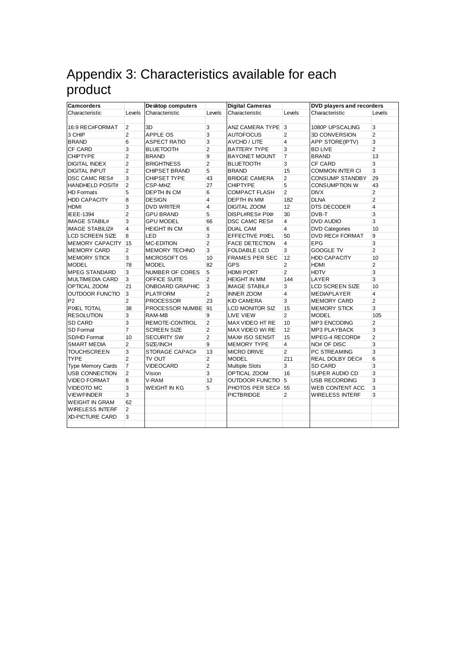# Appendix 3: Characteristics available for each product

| <b>Camcorders</b>        |                | <b>Desktop computers</b> |                         | <b>Digital Cameras</b> |                | <b>DVD players and recorders</b> |                |
|--------------------------|----------------|--------------------------|-------------------------|------------------------|----------------|----------------------------------|----------------|
| Characteristic           | Levels         | Characteristic           | Levels                  | Characteristic         | Levels         | Characteristic                   | Levels         |
|                          |                |                          |                         |                        |                |                                  |                |
| 16:9 REC#FORMAT          | 2              | 3D                       | 3                       | ANZ CAMERA TYPE 3      |                | 1080P UPSCALING                  | 3              |
| 3 CHIP                   | $\overline{2}$ | APPLE OS                 | 3                       | <b>AUTOFOCUS</b>       | $\overline{2}$ | 3D CONVERSION                    | $\overline{2}$ |
| <b>BRAND</b>             | 6              | <b>ASPECT RATIO</b>      | 3                       | AVCHD / LITE           | 4              | APP STORE(IPTV)                  | 3              |
| <b>CF CARD</b>           | 3              | <b>BLUETOOTH</b>         | $\overline{2}$          | <b>BATTERY TYPE</b>    | 3              | <b>BD LIVE</b>                   | $\overline{2}$ |
| <b>CHIPTYPE</b>          | $\overline{2}$ | <b>BRAND</b>             | 9                       | <b>BAYONET MOUNT</b>   | $\overline{7}$ | <b>BRAND</b>                     | 13             |
| <b>DIGITAL INDEX</b>     | $\overline{2}$ | <b>BRIGHTNESS</b>        | $\overline{\mathbf{c}}$ | <b>BLUETOOTH</b>       | 3              | CF CARD                          | 3              |
| <b>DIGITAL INPUT</b>     | $\overline{2}$ | <b>CHIPSET BRAND</b>     | 5                       | <b>BRAND</b>           | 15             | COMMON INTER CI                  | 3              |
| <b>DSC CAMC RES#</b>     | 3              | CHIPSET TYPE             | 43                      | <b>BRIDGE CAMERA</b>   | $\overline{2}$ | <b>CONSUMP STANDBY</b>           | 29             |
| <b>HANDHELD POSIT#</b>   | $\overline{2}$ | CSP-MHZ                  | 27                      | <b>CHIPTYPE</b>        | 5              | CONSUMPTION W                    | 43             |
| <b>HD Formats</b>        | 5              | <b>DEPTH IN CM</b>       | 6                       | <b>COMPACT FLASH</b>   | $\overline{2}$ | <b>DIVX</b>                      | $\overline{2}$ |
| <b>HDD CAPACITY</b>      | 8              | <b>DESIGN</b>            | 4                       | DEPTH IN MM            | 182            | <b>DLNA</b>                      | $\overline{2}$ |
| <b>HDMI</b>              | 3              | <b>DVD WRITER</b>        | 4                       | <b>DIGITAL ZOOM</b>    | 12             | DTS DECODER                      | 4              |
| <b>IEEE-1394</b>         | $\overline{2}$ | <b>GPU BRAND</b>         | 5                       | DISPL#RES# PIX#        | 30             | DVB-T                            | 3              |
| <b>IMAGE STABIL#</b>     | 3              | <b>GPU MODEL</b>         | 66                      | <b>DSC CAMC RES#</b>   | 4              | DVD AUDIO                        | 3              |
| <b>IMAGE STABILIZ#</b>   | 4              | <b>HEIGHT IN CM</b>      | 6                       | <b>DUAL CAM</b>        | $\overline{4}$ | <b>DVD Categories</b>            | 10             |
| <b>LCD SCREEN SIZE</b>   | 8              | LED                      | 3                       | <b>EFFECTIVE PIXEL</b> | 50             | <b>DVD REC# FORMAT</b>           | 9              |
| MEMORY CAPACITY 15       |                | <b>MC-EDITION</b>        | $\overline{2}$          | <b>FACE DETECTION</b>  | 4              | EPG                              | 3              |
| <b>MEMORY CARD</b>       | $\overline{2}$ | MEMORY TECHNO            | 3                       | FOLDABLE LCD           | 3              | GOOGLE TV                        | $\overline{2}$ |
| <b>MEMORY STICK</b>      | 3              | <b>MICROSOFT OS</b>      | 10                      | <b>FRAMES PER SEC</b>  | 12             | <b>HDD CAPACITY</b>              | 10             |
| <b>MODEL</b>             | 78             | <b>MODEL</b>             | 82                      | <b>GPS</b>             | $\overline{2}$ | HDMI                             | $\overline{2}$ |
| <b>MPEG STANDARD</b>     | 3              | <b>NUMBER OF CORES</b>   | 5                       | <b>HDMI PORT</b>       | $\overline{2}$ | HDTV                             | 3              |
| <b>MULTIMEDIA CARD</b>   | 3              | OFFICE SUITE             | $\overline{2}$          | <b>HEIGHT IN MM</b>    | 144            | LAYER                            | 3              |
| OPTICAL ZOOM             | 21             | <b>ONBOARD GRAPHIC</b>   | 3                       | <b>IMAGE STABIL#</b>   | 3              | LCD SCREEN SIZE                  | 10             |
| OUTDOOR FUNCTIO          | 3              | <b>PLATFORM</b>          | $\overline{2}$          | <b>INNER ZOOM</b>      | 4              | <b>MEDIAPLAYER</b>               | 4              |
| P <sub>2</sub>           | $\overline{2}$ | <b>PROCESSOR</b>         | 23                      | <b>KID CAMERA</b>      | 3              | <b>MEMORY CARD</b>               | $\overline{2}$ |
| <b>PIXEL TOTAL</b>       | 38             | PROCESSOR NUMBE 91       |                         | LCD MONITOR SIZ        | 15             | <b>MEMORY STICK</b>              | 3              |
| <b>RESOLUTION</b>        | 3              | RAM-MB                   | 9                       | LIVE VIEW              | $\overline{2}$ | <b>MODEL</b>                     | 105            |
| <b>SD CARD</b>           | 3              | REMOTE-CONTROL           | $\overline{2}$          | MAX VIDEO HT RE        | 10             | MP3 ENCODING                     | $\overline{2}$ |
| <b>SD Format</b>         | $\overline{7}$ | <b>SCREEN SIZE</b>       | 2                       | MAX VIDEO WI RE        | 12             | <b>MP3 PLAYBACK</b>              | 3              |
| SD/HD Format             | 10             | <b>SECURITY SW</b>       | $\overline{2}$          | MAX# ISO SENSIT        | 15             | MPEG-4 RECORD#                   | $\overline{2}$ |
| <b>SMART MEDIA</b>       | $\overline{2}$ | SIZE/INCH                | 9                       | <b>MEMORY TYPE</b>     | 4              | NO# OF DISC                      | 3              |
| <b>TOUCHSCREEN</b>       | 3              | STORAGE CAPAC#           | 13                      | <b>MICRO DRIVE</b>     | $\overline{2}$ | PC STREAMING                     | 3              |
| <b>TYPE</b>              | $\overline{2}$ | TV OUT                   | 2                       | <b>MODEL</b>           | 211            | <b>REAL DOLBY DEC#</b>           | 6              |
| <b>Type Memory Cards</b> | 7              | VIDEOCARD                | $\overline{\mathbf{c}}$ | <b>Multiple Slots</b>  | 3              | SD CARD                          | 3              |
| <b>USB CONNECTION</b>    | $\overline{2}$ | Vision                   | 3                       | OPTICAL ZOOM           | 16             | SUPER AUDIO CD                   | 3              |
| <b>VIDEO FORMAT</b>      | 8              | V-RAM                    | 12                      | OUTDOOR FUNCTIO 5      |                | USB RECORDING                    | 3              |
| <b>VIDEOTO MC</b>        | 3              | <b>WEIGHT IN KG</b>      | 5                       | PHOTOS PER SEC# 55     |                | WEB CONTENT ACC                  | 3              |
| <b>VIEWFINDER</b>        | 3              |                          |                         | PICTBRIDGE             | 2              | WIRELESS INTERF                  | 3              |
| <b>WEIGHT IN GRAM</b>    | 62             |                          |                         |                        |                |                                  |                |
| <b>WIRELESS INTERF</b>   | 2              |                          |                         |                        |                |                                  |                |
| <b>XD-PICTURE CARD</b>   | 3              |                          |                         |                        |                |                                  |                |
|                          |                |                          |                         |                        |                |                                  |                |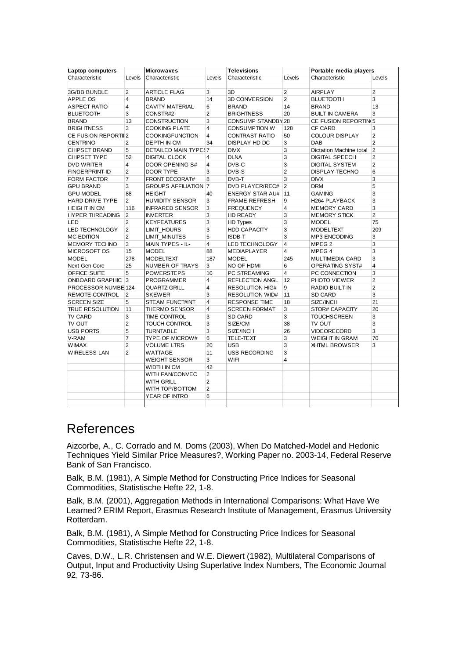| <b>Laptop computers</b> |                | <b>Microwaves</b>           |                         | <b>Televisions</b>     |                         | Portable media players  |                |
|-------------------------|----------------|-----------------------------|-------------------------|------------------------|-------------------------|-------------------------|----------------|
| Characteristic          | Levels         | Characteristic              | Levels                  | Characteristic         | Levels                  | Characteristic          | Levels         |
|                         |                |                             |                         |                        |                         |                         |                |
| 3G/BB BUNDLE            | 2              | <b>ARTICLE FLAG</b>         | 3                       | 3D                     | $\overline{2}$          | <b>AIRPLAY</b>          | 2              |
| <b>APPLE OS</b>         | 4              | <b>BRAND</b>                | 14                      | 3D CONVERSION          | $\overline{2}$          | <b>BLUETOOTH</b>        | 3              |
| <b>ASPECT RATIO</b>     | $\overline{4}$ | CAVITY MATERIAL             | 6                       | <b>BRAND</b>           | 14                      | <b>BRAND</b>            | 13             |
| <b>BLUETOOTH</b>        | 3              | CONSTR#2                    | $\overline{2}$          | <b>BRIGHTNESS</b>      | 20                      | <b>BUILT IN CAMERA</b>  | 3              |
| <b>BRAND</b>            | 13             | <b>CONSTRUCTION</b>         | 3                       | CONSUMP STANDBY 28     |                         | CE FUSION REPORTING     |                |
| <b>BRIGHTNESS</b>       | 3              | <b>COOKING PLATE</b>        | $\overline{4}$          | <b>CONSUMPTION W</b>   | 128                     | CF CARD                 | 3              |
| CE FUSION REPORTIL2     |                | <b>COOKINGFUNCTION</b>      | $\overline{4}$          | <b>CONTRAST RATIO</b>  | 50                      | <b>COLOUR DISPLAY</b>   | $\overline{2}$ |
| <b>CENTRINO</b>         | 2              | DEPTH IN CM                 | 34                      | DISPLAY HD DC          | 3                       | DAB                     | $\overline{2}$ |
| <b>CHIPSET BRAND</b>    | 5              | DETAILED MAIN TYPES7        |                         | <b>DIVX</b>            | 3                       | Dictation Machine total | $\overline{2}$ |
| CHIPSET TYPE            | 52             | <b>DIGITAL CLOCK</b>        | 4                       | <b>DLNA</b>            | 3                       | <b>DIGITAL SPEECH</b>   | $\overline{2}$ |
| <b>DVD WRITER</b>       | $\overline{4}$ | DOOR OPENING S#             | $\overline{\mathbf{4}}$ | DVB-C                  | 3                       | <b>DIGITAL SYSTEM</b>   | $\overline{2}$ |
| FINGERPRINT-ID          | $\overline{2}$ | <b>DOOR TYPE</b>            | 3                       | DVB-S                  | $\overline{2}$          | DISPLAY-TECHNO          | 6              |
| <b>FORM FACTOR</b>      | $\overline{7}$ | <b>FRONT DECORAT#</b>       | 8                       | DVB-T                  | 3                       | <b>DIVX</b>             | 3              |
| <b>GPU BRAND</b>        | 3              | <b>GROUPS AFFILIATION 7</b> |                         | DVD PLAYER/REC#        | $\overline{2}$          | <b>DRM</b>              | 5              |
| <b>GPU MODEL</b>        | 88             | <b>HEIGHT</b>               | 40                      | <b>ENERGY STAR AU#</b> | 11                      | <b>GAMING</b>           | 3              |
| <b>HARD DRIVE TYPE</b>  | $\overline{2}$ | <b>HUMIDITY SENSOR</b>      | 3                       | <b>FRAME REFRESH</b>   | 9                       | H264 PLAYBACK           | 3              |
| <b>HEIGHT IN CM</b>     | 116            | <b>INFRARED SENSOR</b>      | 3                       | <b>FREQUENCY</b>       | $\overline{\mathbf{4}}$ | <b>MEMORY CARD</b>      | 3              |
| <b>HYPER THREADING</b>  | 2              | <b>INVERTER</b>             | 3                       | <b>HD READY</b>        | 3                       | <b>MEMORY STICK</b>     | $\overline{2}$ |
| LED                     | $\overline{2}$ | <b>KEYFEATURES</b>          | 3                       | <b>HD Types</b>        | 3                       | <b>MODEL</b>            | 75             |
| <b>LED TECHNOLOGY</b>   | 2              | LIMIT HOURS                 | 3                       | <b>HDD CAPACITY</b>    | 3                       | <b>MODELTEXT</b>        | 209            |
| <b>MC-EDITION</b>       | 2              | LIMIT_MINUTES               | 5                       | ISDB-T                 | 3                       | <b>MP3 ENCODING</b>     | 3              |
| <b>MEMORY TECHNO</b>    | 3              | MAIN TYPES - IL-            | 4                       | <b>LED TECHNOLOGY</b>  | $\overline{4}$          | MPEG <sub>2</sub>       | 3              |
| <b>MICROSOFT OS</b>     | 15             | <b>MODEL</b>                | 88                      | MEDIAPLAYER            | $\overline{4}$          | MPEG <sub>4</sub>       | 3              |
| <b>MODEL</b>            | 278            | <b>MODELTEXT</b>            | 187                     | <b>MODEL</b>           | 245                     | <b>MULTIMEDIA CARD</b>  | 3              |
| Next Gen Core           | 25             | <b>NUMBER OF TRAYS</b>      | 3                       | NO OF HDMI             | 6                       | OPERATING SYST#         | $\overline{4}$ |
| OFFICE SUITE            | 5              | <b>POWERSTEPS</b>           | 10                      | PC STREAMING           | 4                       | PC CONNECTION           | 3              |
| ONBOARD GRAPHIC 3       |                | PROGRAMMER                  | 4                       | REFLECTION ANGL        | 12                      | PHOTO VIEWER            | $\overline{2}$ |
| PROCESSOR NUMBE 124     |                | <b>QUARTZ GRILL</b>         | $\overline{\mathbf{4}}$ | <b>RESOLUTION HIG#</b> | 9                       | <b>RADIO BUILT-IN</b>   | $\overline{2}$ |
| REMOTE-CONTROL          | $\overline{2}$ | <b>SKEWER</b>               | 3                       | <b>RESOLUTION WID#</b> | 11                      | <b>SD CARD</b>          | 3              |
| <b>SCREEN SIZE</b>      | 5              | <b>STEAM FUNCT#INT</b>      | $\overline{\mathbf{4}}$ | <b>RESPONSE TIME</b>   | 18                      | SIZE/INCH               | 21             |
| <b>TRUE RESOLUTION</b>  | 11             | <b>THERMO SENSOR</b>        | 4                       | <b>SCREEN FORMAT</b>   | 3                       | STOR# CAPACITY          | 20             |
| TV CARD                 | 3              | TIME CONTROL                | 3                       | <b>SD CARD</b>         | 3                       | <b>TOUCHSCREEN</b>      | 3              |
| TV OUT                  | $\overline{2}$ | TOUCH CONTROL               | 3                       | SIZE/CM                | 38                      | TV OUT                  | 3              |
| <b>USB PORTS</b>        | 5              | <b>TURNTABLE</b>            | 3                       | SIZE/INCH              | 26                      | VIDEORECORD             | 3              |
| V-RAM                   | $\overline{7}$ | <b>TYPE OF MICROW#</b>      | 6                       | TELE-TEXT              | 3                       | <b>WEIGHT IN GRAM</b>   | 70             |
| <b>WIMAX</b>            | $\overline{2}$ | <b>VOLUME LTRS</b>          | 20                      | <b>USB</b>             | 3                       | <b>XHTML BROWSER</b>    | 3              |
| <b>WIRELESS LAN</b>     | $\overline{2}$ | WATTAGE                     | 11                      | <b>USB RECORDING</b>   | 3                       |                         |                |
|                         |                | <b>WEIGHT SENSOR</b>        | 3                       | <b>WIFI</b>            | 4                       |                         |                |
|                         |                | WIDTH IN CM                 | 42                      |                        |                         |                         |                |
|                         |                | WITH FAN/CONVEC             | 2                       |                        |                         |                         |                |
|                         |                | WITH GRILL                  | $\overline{2}$          |                        |                         |                         |                |
|                         |                | WITH TOP/BOTTOM             | $\overline{2}$          |                        |                         |                         |                |
|                         |                | YEAR OF INTRO               | 6                       |                        |                         |                         |                |
|                         |                |                             |                         |                        |                         |                         |                |

## References

Aizcorbe, A., C. Corrado and M. Doms (2003), When Do Matched-Model and Hedonic Techniques Yield Similar Price Measures?, Working Paper no. 2003-14, Federal Reserve Bank of San Francisco.

Balk, B.M. (1981), A Simple Method for Constructing Price Indices for Seasonal Commodities, Statistische Hefte 22, 1-8.

Balk, B.M. (2001), Aggregation Methods in International Comparisons: What Have We Learned? ERIM Report, Erasmus Research Institute of Management, Erasmus University Rotterdam.

Balk, B.M. (1981), A Simple Method for Constructing Price Indices for Seasonal Commodities, Statistische Hefte 22, 1-8.

Caves, D.W., L.R. Christensen and W.E. Diewert (1982), Multilateral Comparisons of Output, Input and Productivity Using Superlative Index Numbers, The Economic Journal 92, 73-86.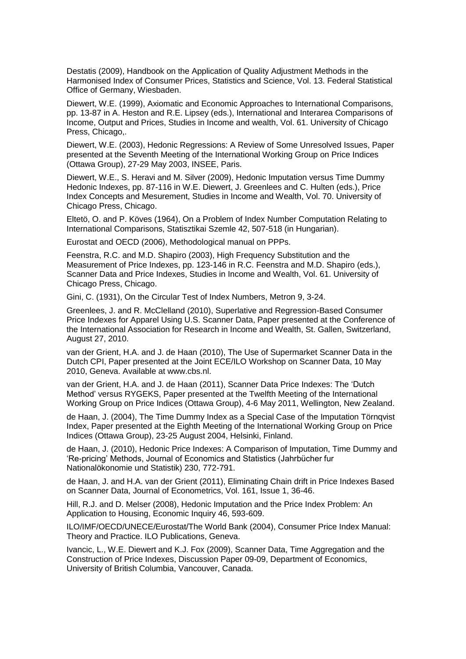Destatis (2009), Handbook on the Application of Quality Adjustment Methods in the Harmonised Index of Consumer Prices, Statistics and Science, Vol. 13. Federal Statistical Office of Germany, Wiesbaden.

Diewert, W.E. (1999), Axiomatic and Economic Approaches to International Comparisons, pp. 13-87 in A. Heston and R.E. Lipsey (eds.), International and Interarea Comparisons of Income, Output and Prices, Studies in Income and wealth, Vol. 61. University of Chicago Press, Chicago,.

Diewert, W.E. (2003), Hedonic Regressions: A Review of Some Unresolved Issues, Paper presented at the Seventh Meeting of the International Working Group on Price Indices (Ottawa Group), 27-29 May 2003, INSEE, Paris.

Diewert, W.E., S. Heravi and M. Silver (2009), Hedonic Imputation versus Time Dummy Hedonic Indexes, pp. 87-116 in W.E. Diewert, J. Greenlees and C. Hulten (eds.), Price Index Concepts and Mesurement, Studies in Income and Wealth, Vol. 70. University of Chicago Press, Chicago.

Eltetö, O. and P. Köves (1964), On a Problem of Index Number Computation Relating to International Comparisons, Statisztikai Szemle 42, 507-518 (in Hungarian).

Eurostat and OECD (2006), Methodological manual on PPPs.

Feenstra, R.C. and M.D. Shapiro (2003), High Frequency Substitution and the Measurement of Price Indexes, pp. 123-146 in R.C. Feenstra and M.D. Shapiro (eds.), Scanner Data and Price Indexes, Studies in Income and Wealth, Vol. 61. University of Chicago Press, Chicago.

Gini, C. (1931), On the Circular Test of Index Numbers, Metron 9, 3-24.

Greenlees, J. and R. McClelland (2010), Superlative and Regression-Based Consumer Price Indexes for Apparel Using U.S. Scanner Data, Paper presented at the Conference of the International Association for Research in Income and Wealth, St. Gallen, Switzerland, August 27, 2010.

van der Grient, H.A. and J. de Haan (2010), The Use of Supermarket Scanner Data in the Dutch CPI, Paper presented at the Joint ECE/ILO Workshop on Scanner Data, 10 May 2010, Geneva. Available at www.cbs.nl.

van der Grient, H.A. and J. de Haan (2011), Scanner Data Price Indexes: The 'Dutch Method' versus RYGEKS, Paper presented at the Twelfth Meeting of the International Working Group on Price Indices (Ottawa Group), 4-6 May 2011, Wellington, New Zealand.

de Haan, J. (2004), The Time Dummy Index as a Special Case of the Imputation Törnqvist Index, Paper presented at the Eighth Meeting of the International Working Group on Price Indices (Ottawa Group), 23-25 August 2004, Helsinki, Finland.

de Haan, J. (2010), Hedonic Price Indexes: A Comparison of Imputation, Time Dummy and 'Re-pricing' Methods, Journal of Economics and Statistics (Jahrbücher fur Nationalökonomie und Statistik) 230, 772-791.

de Haan, J. and H.A. van der Grient (2011), Eliminating Chain drift in Price Indexes Based on Scanner Data, Journal of Econometrics, Vol. 161, Issue 1, 36-46.

Hill, R.J. and D. Melser (2008), Hedonic Imputation and the Price Index Problem: An Application to Housing, Economic Inquiry 46, 593-609.

ILO/IMF/OECD/UNECE/Eurostat/The World Bank (2004), Consumer Price Index Manual: Theory and Practice. ILO Publications, Geneva.

Ivancic, L., W.E. Diewert and K.J. Fox (2009), Scanner Data, Time Aggregation and the Construction of Price Indexes, Discussion Paper 09-09, Department of Economics, University of British Columbia, Vancouver, Canada.